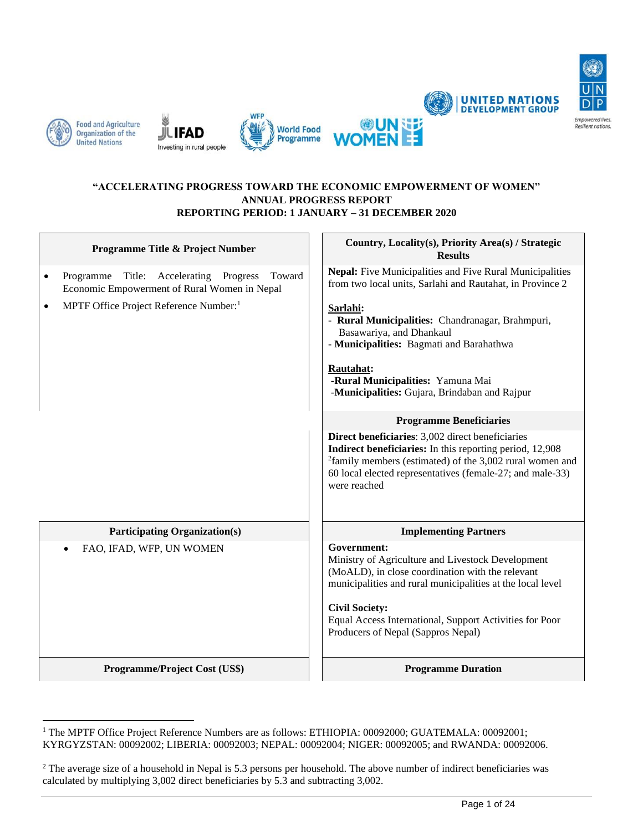







#### **"ACCELERATING PROGRESS TOWARD THE ECONOMIC EMPOWERMENT OF WOMEN" ANNUAL PROGRESS REPORT REPORTING PERIOD: 1 JANUARY – 31 DECEMBER 2020**

| Programme Title & Project Number                                                                                    | Country, Locality(s), Priority Area(s) / Strategic<br><b>Results</b>                                                                                                                                                                                                                                                                                                                                                                                                                                                                            |  |
|---------------------------------------------------------------------------------------------------------------------|-------------------------------------------------------------------------------------------------------------------------------------------------------------------------------------------------------------------------------------------------------------------------------------------------------------------------------------------------------------------------------------------------------------------------------------------------------------------------------------------------------------------------------------------------|--|
| Title: Accelerating<br>Progress<br>Toward<br>Programme<br>$\bullet$<br>Economic Empowerment of Rural Women in Nepal | Nepal: Five Municipalities and Five Rural Municipalities<br>from two local units, Sarlahi and Rautahat, in Province 2                                                                                                                                                                                                                                                                                                                                                                                                                           |  |
| MPTF Office Project Reference Number: <sup>1</sup><br>$\bullet$                                                     | Sarlahi:<br>- Rural Municipalities: Chandranagar, Brahmpuri,<br>Basawariya, and Dhankaul<br>- Municipalities: Bagmati and Barahathwa<br>Rautahat:<br>-Rural Municipalities: Yamuna Mai<br>-Municipalities: Gujara, Brindaban and Rajpur<br><b>Programme Beneficiaries</b><br>Direct beneficiaries: 3,002 direct beneficiaries<br><b>Indirect beneficiaries:</b> In this reporting period, 12,908<br>$^{2}$ family members (estimated) of the 3,002 rural women and<br>60 local elected representatives (female-27; and male-33)<br>were reached |  |
| <b>Participating Organization(s)</b>                                                                                | <b>Implementing Partners</b>                                                                                                                                                                                                                                                                                                                                                                                                                                                                                                                    |  |
| FAO, IFAD, WFP, UN WOMEN<br>$\bullet$                                                                               | Government:<br>Ministry of Agriculture and Livestock Development<br>(MoALD), in close coordination with the relevant<br>municipalities and rural municipalities at the local level<br><b>Civil Society:</b><br>Equal Access International, Support Activities for Poor<br>Producers of Nepal (Sappros Nepal)                                                                                                                                                                                                                                    |  |
| Programme/Project Cost (US\$)                                                                                       | <b>Programme Duration</b>                                                                                                                                                                                                                                                                                                                                                                                                                                                                                                                       |  |



**UNITED NATIONS**<br>**DEVELOPMENT GROUP** 

<sup>&</sup>lt;sup>1</sup> The MPTF Office Project Reference Numbers are as follows: ETHIOPIA: 00092000; GUATEMALA: 00092001; KYRGYZSTAN: 00092002; LIBERIA: 00092003; NEPAL: 00092004; NIGER: 00092005; and RWANDA: 00092006.

<sup>&</sup>lt;sup>2</sup> The average size of a household in Nepal is 5.3 persons per household. The above number of indirect beneficiaries was calculated by multiplying 3,002 direct beneficiaries by 5.3 and subtracting 3,002.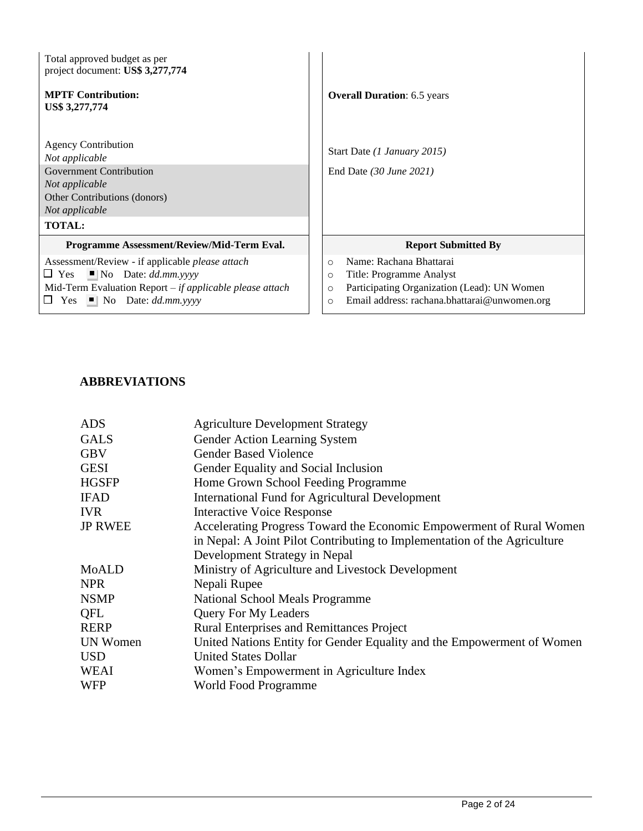| Total approved budget as per<br>project document: US\$ 3,277,774                                                                                   |                                                                   |
|----------------------------------------------------------------------------------------------------------------------------------------------------|-------------------------------------------------------------------|
| <b>MPTF Contribution:</b><br>US\$ 3,277,774                                                                                                        | <b>Overall Duration: 6.5 years</b>                                |
| <b>Agency Contribution</b><br>Not applicable<br><b>Government Contribution</b><br>Not applicable<br>Other Contributions (donors)<br>Not applicable | Start Date (1 January 2015)<br>End Date $(30 \text{ June } 2021)$ |
| <b>TOTAL:</b>                                                                                                                                      |                                                                   |
| Programme Assessment/Review/Mid-Term Eval.                                                                                                         | <b>Report Submitted By</b>                                        |
| Assessment/Review - if applicable <i>please attach</i>                                                                                             | Name: Rachana Bhattarai<br>$\circ$                                |
| $\blacksquare$ No Date: <i>dd.mm.yyyy</i><br>$\Box$ Yes                                                                                            | Title: Programme Analyst<br>$\circ$                               |
| Mid-Term Evaluation Report $-i f$ applicable please attach                                                                                         | Participating Organization (Lead): UN Women<br>$\circ$            |
| $\Box$ Yes $\Box$ No Date: <i>dd.mm.yyyy</i>                                                                                                       | Email address: rachana.bhattarai@unwomen.org<br>$\Omega$          |

# **ABBREVIATIONS**

| <b>ADS</b>      | <b>Agriculture Development Strategy</b>                                   |
|-----------------|---------------------------------------------------------------------------|
| <b>GALS</b>     | Gender Action Learning System                                             |
| <b>GBV</b>      | <b>Gender Based Violence</b>                                              |
| <b>GESI</b>     | Gender Equality and Social Inclusion                                      |
| <b>HGSFP</b>    | Home Grown School Feeding Programme                                       |
| <b>IFAD</b>     | International Fund for Agricultural Development                           |
| <b>IVR</b>      | <b>Interactive Voice Response</b>                                         |
| <b>JP RWEE</b>  | Accelerating Progress Toward the Economic Empowerment of Rural Women      |
|                 | in Nepal: A Joint Pilot Contributing to Implementation of the Agriculture |
|                 | Development Strategy in Nepal                                             |
| MoALD           | Ministry of Agriculture and Livestock Development                         |
| NPR             | Nepali Rupee                                                              |
| <b>NSMP</b>     | National School Meals Programme                                           |
| QFL             | <b>Query For My Leaders</b>                                               |
| <b>RERP</b>     | <b>Rural Enterprises and Remittances Project</b>                          |
| <b>UN Women</b> | United Nations Entity for Gender Equality and the Empowerment of Women    |
| USD             | <b>United States Dollar</b>                                               |
| <b>WEAI</b>     | Women's Empowerment in Agriculture Index                                  |
| <b>WFP</b>      | World Food Programme                                                      |
|                 |                                                                           |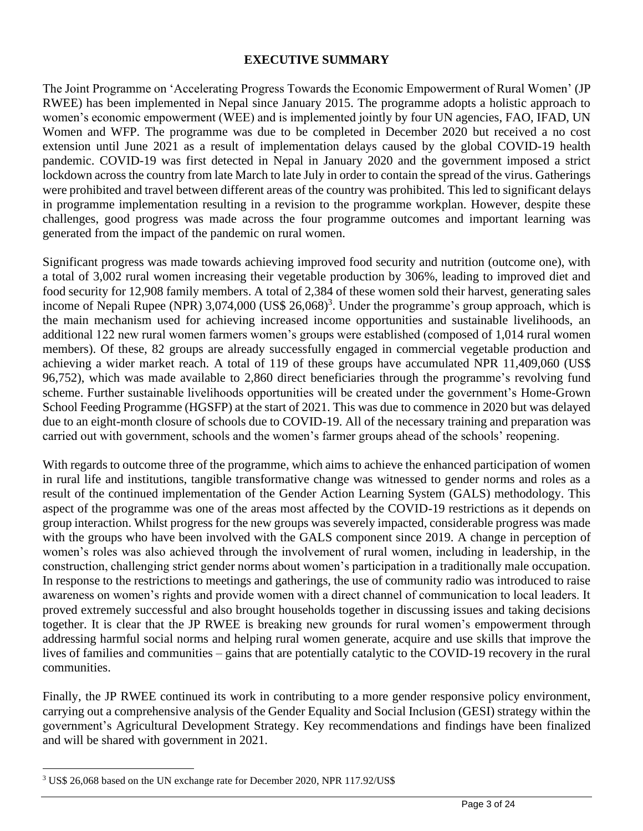### **EXECUTIVE SUMMARY**

The Joint Programme on 'Accelerating Progress Towards the Economic Empowerment of Rural Women' (JP RWEE) has been implemented in Nepal since January 2015. The programme adopts a holistic approach to women's economic empowerment (WEE) and is implemented jointly by four UN agencies, FAO, IFAD, UN Women and WFP. The programme was due to be completed in December 2020 but received a no cost extension until June 2021 as a result of implementation delays caused by the global COVID-19 health pandemic. COVID-19 was first detected in Nepal in January 2020 and the government imposed a strict lockdown across the country from late March to late July in order to contain the spread of the virus. Gatherings were prohibited and travel between different areas of the country was prohibited. This led to significant delays in programme implementation resulting in a revision to the programme workplan. However, despite these challenges, good progress was made across the four programme outcomes and important learning was generated from the impact of the pandemic on rural women.

Significant progress was made towards achieving improved food security and nutrition (outcome one), with a total of 3,002 rural women increasing their vegetable production by 306%, leading to improved diet and food security for 12,908 family members. A total of 2,384 of these women sold their harvest, generating sales income of Nepali Rupee (NPR) 3,074,000 (US\$ 26,068)<sup>3</sup>. Under the programme's group approach, which is the main mechanism used for achieving increased income opportunities and sustainable livelihoods, an additional 122 new rural women farmers women's groups were established (composed of 1,014 rural women members). Of these, 82 groups are already successfully engaged in commercial vegetable production and achieving a wider market reach. A total of 119 of these groups have accumulated NPR 11,409,060 (US\$ 96,752), which was made available to 2,860 direct beneficiaries through the programme's revolving fund scheme. Further sustainable livelihoods opportunities will be created under the government's Home-Grown School Feeding Programme (HGSFP) at the start of 2021. This was due to commence in 2020 but was delayed due to an eight-month closure of schools due to COVID-19. All of the necessary training and preparation was carried out with government, schools and the women's farmer groups ahead of the schools' reopening.

With regards to outcome three of the programme, which aims to achieve the enhanced participation of women in rural life and institutions, tangible transformative change was witnessed to gender norms and roles as a result of the continued implementation of the Gender Action Learning System (GALS) methodology. This aspect of the programme was one of the areas most affected by the COVID-19 restrictions as it depends on group interaction. Whilst progress for the new groups was severely impacted, considerable progress was made with the groups who have been involved with the GALS component since 2019. A change in perception of women's roles was also achieved through the involvement of rural women, including in leadership, in the construction, challenging strict gender norms about women's participation in a traditionally male occupation. In response to the restrictions to meetings and gatherings, the use of community radio was introduced to raise awareness on women's rights and provide women with a direct channel of communication to local leaders. It proved extremely successful and also brought households together in discussing issues and taking decisions together. It is clear that the JP RWEE is breaking new grounds for rural women's empowerment through addressing harmful social norms and helping rural women generate, acquire and use skills that improve the lives of families and communities – gains that are potentially catalytic to the COVID-19 recovery in the rural communities.

Finally, the JP RWEE continued its work in contributing to a more gender responsive policy environment, carrying out a comprehensive analysis of the Gender Equality and Social Inclusion (GESI) strategy within the government's Agricultural Development Strategy. Key recommendations and findings have been finalized and will be shared with government in 2021.

<sup>3</sup> US\$ 26,068 based on the UN exchange rate for December 2020, NPR 117.92/US\$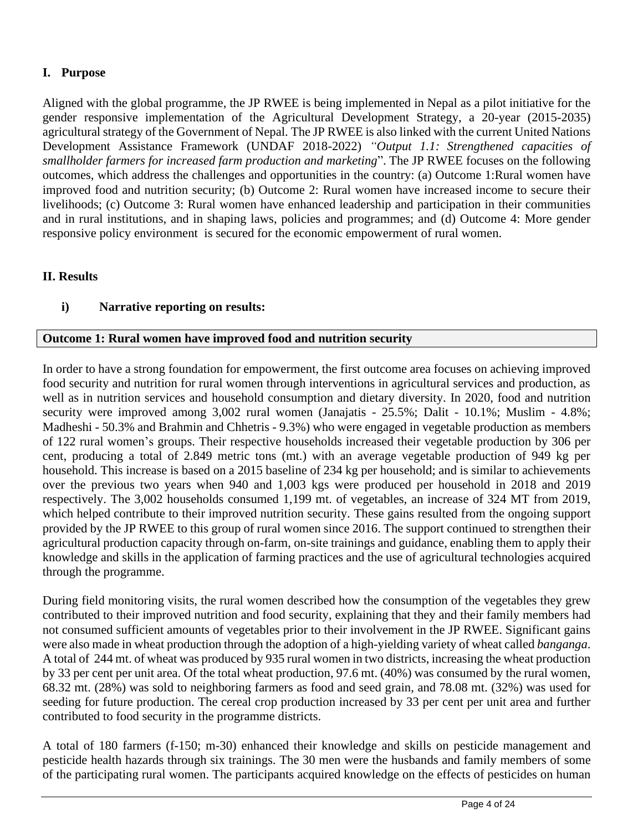# **I. Purpose**

Aligned with the global programme, the JP RWEE is being implemented in Nepal as a pilot initiative for the gender responsive implementation of the Agricultural Development Strategy, a 20-year (2015-2035) agricultural strategy of the Government of Nepal. The JP RWEE is also linked with the current United Nations Development Assistance Framework (UNDAF 2018-2022) *"Output 1.1: Strengthened capacities of smallholder farmers for increased farm production and marketing*". The JP RWEE focuses on the following outcomes, which address the challenges and opportunities in the country: (a) Outcome 1:Rural women have improved food and nutrition security; (b) Outcome 2: Rural women have increased income to secure their livelihoods; (c) Outcome 3: Rural women have enhanced leadership and participation in their communities and in rural institutions, and in shaping laws, policies and programmes; and (d) Outcome 4: More gender responsive policy environment is secured for the economic empowerment of rural women.

# **II. Results**

# **i) Narrative reporting on results:**

## **Outcome 1: Rural women have improved food and nutrition security**

In order to have a strong foundation for empowerment, the first outcome area focuses on achieving improved food security and nutrition for rural women through interventions in agricultural services and production, as well as in nutrition services and household consumption and dietary diversity. In 2020, food and nutrition security were improved among 3,002 rural women (Janajatis - 25.5%; Dalit - 10.1%; Muslim - 4.8%; Madheshi - 50.3% and Brahmin and Chhetris - 9.3%) who were engaged in vegetable production as members of 122 rural women's groups. Their respective households increased their vegetable production by 306 per cent, producing a total of 2.849 metric tons (mt.) with an average vegetable production of 949 kg per household. This increase is based on a 2015 baseline of 234 kg per household; and is similar to achievements over the previous two years when 940 and 1,003 kgs were produced per household in 2018 and 2019 respectively. The 3,002 households consumed 1,199 mt. of vegetables, an increase of 324 MT from 2019, which helped contribute to their improved nutrition security. These gains resulted from the ongoing support provided by the JP RWEE to this group of rural women since 2016. The support continued to strengthen their agricultural production capacity through on-farm, on-site trainings and guidance, enabling them to apply their knowledge and skills in the application of farming practices and the use of agricultural technologies acquired through the programme.

During field monitoring visits, the rural women described how the consumption of the vegetables they grew contributed to their improved nutrition and food security, explaining that they and their family members had not consumed sufficient amounts of vegetables prior to their involvement in the JP RWEE. Significant gains were also made in wheat production through the adoption of a high-yielding variety of wheat called *banganga*. A total of 244 mt. of wheat was produced by 935 rural women in two districts, increasing the wheat production by 33 per cent per unit area. Of the total wheat production, 97.6 mt. (40%) was consumed by the rural women, 68.32 mt. (28%) was sold to neighboring farmers as food and seed grain, and 78.08 mt. (32%) was used for seeding for future production. The cereal crop production increased by 33 per cent per unit area and further contributed to food security in the programme districts.

A total of 180 farmers (f-150; m-30) enhanced their knowledge and skills on pesticide management and pesticide health hazards through six trainings. The 30 men were the husbands and family members of some of the participating rural women. The participants acquired knowledge on the effects of pesticides on human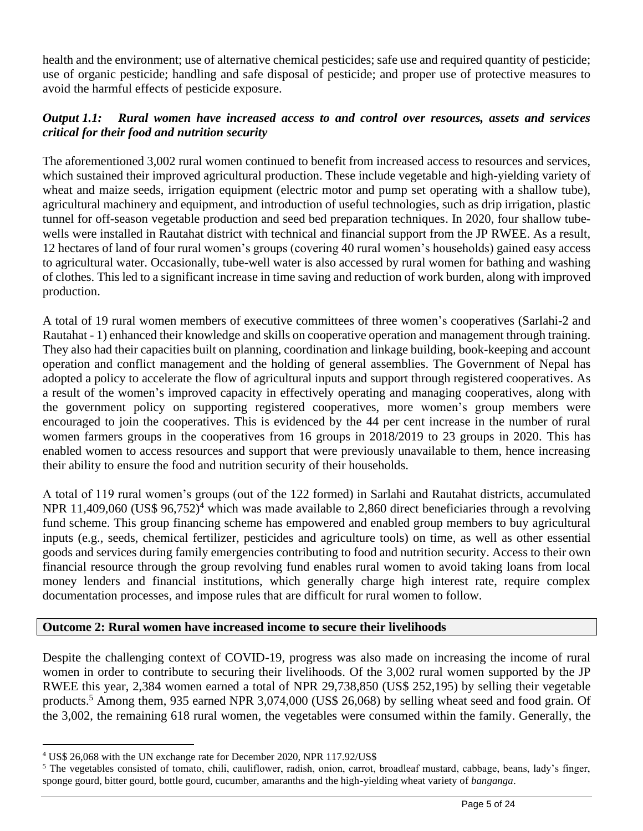health and the environment; use of alternative chemical pesticides; safe use and required quantity of pesticide; use of organic pesticide; handling and safe disposal of pesticide; and proper use of protective measures to avoid the harmful effects of pesticide exposure.

## *Output 1.1: Rural women have increased access to and control over resources, assets and services critical for their food and nutrition security*

The aforementioned 3,002 rural women continued to benefit from increased access to resources and services, which sustained their improved agricultural production. These include vegetable and high-yielding variety of wheat and maize seeds, irrigation equipment (electric motor and pump set operating with a shallow tube), agricultural machinery and equipment, and introduction of useful technologies, such as drip irrigation, plastic tunnel for off-season vegetable production and seed bed preparation techniques. In 2020, four shallow tubewells were installed in Rautahat district with technical and financial support from the JP RWEE. As a result, 12 hectares of land of four rural women's groups (covering 40 rural women's households) gained easy access to agricultural water. Occasionally, tube-well water is also accessed by rural women for bathing and washing of clothes. This led to a significant increase in time saving and reduction of work burden, along with improved production.

A total of 19 rural women members of executive committees of three women's cooperatives (Sarlahi-2 and Rautahat - 1) enhanced their knowledge and skills on cooperative operation and management through training. They also had their capacities built on planning, coordination and linkage building, book-keeping and account operation and conflict management and the holding of general assemblies. The Government of Nepal has adopted a policy to accelerate the flow of agricultural inputs and support through registered cooperatives. As a result of the women's improved capacity in effectively operating and managing cooperatives, along with the government policy on supporting registered cooperatives, more women's group members were encouraged to join the cooperatives. This is evidenced by the 44 per cent increase in the number of rural women farmers groups in the cooperatives from 16 groups in 2018/2019 to 23 groups in 2020. This has enabled women to access resources and support that were previously unavailable to them, hence increasing their ability to ensure the food and nutrition security of their households.

A total of 119 rural women's groups (out of the 122 formed) in Sarlahi and Rautahat districts, accumulated NPR 11,409,060 (US\$  $96,752$ )<sup>4</sup> which was made available to 2,860 direct beneficiaries through a revolving fund scheme. This group financing scheme has empowered and enabled group members to buy agricultural inputs (e.g., seeds, chemical fertilizer, pesticides and agriculture tools) on time, as well as other essential goods and services during family emergencies contributing to food and nutrition security. Access to their own financial resource through the group revolving fund enables rural women to avoid taking loans from local money lenders and financial institutions, which generally charge high interest rate, require complex documentation processes, and impose rules that are difficult for rural women to follow.

### **Outcome 2: Rural women have increased income to secure their livelihoods**

Despite the challenging context of COVID-19, progress was also made on increasing the income of rural women in order to contribute to securing their livelihoods. Of the 3,002 rural women supported by the JP RWEE this year, 2,384 women earned a total of NPR 29,738,850 (US\$ 252,195) by selling their vegetable products.<sup>5</sup> Among them, 935 earned NPR 3,074,000 (US\$ 26,068) by selling wheat seed and food grain. Of the 3,002, the remaining 618 rural women, the vegetables were consumed within the family. Generally, the

<sup>4</sup> US\$ 26,068 with the UN exchange rate for December 2020, NPR 117.92/US\$

 $5$  The vegetables consisted of tomato, chili, cauliflower, radish, onion, carrot, broadleaf mustard, cabbage, beans, lady's finger, sponge gourd, bitter gourd, bottle gourd, cucumber, amaranths and the high-yielding wheat variety of *banganga*.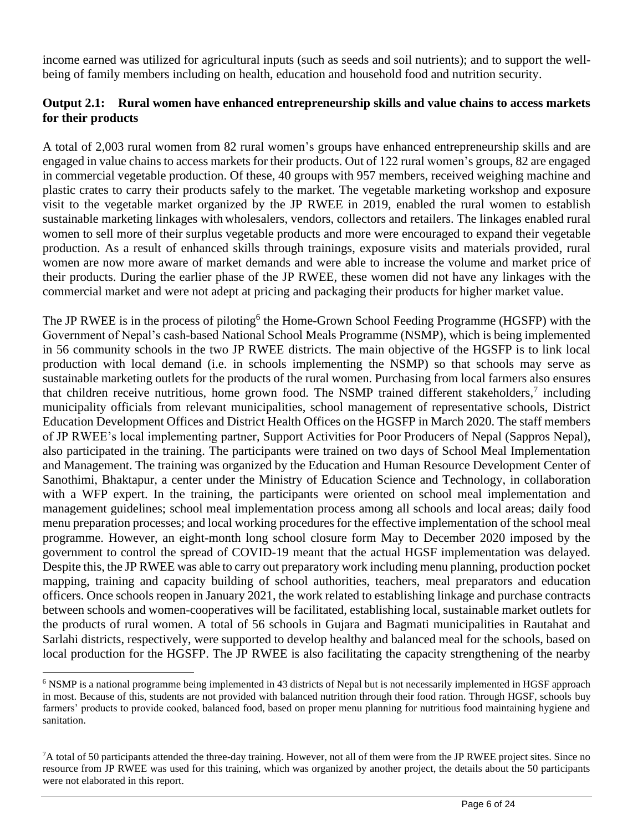income earned was utilized for agricultural inputs (such as seeds and soil nutrients); and to support the wellbeing of family members including on health, education and household food and nutrition security.

### **Output 2.1: Rural women have enhanced entrepreneurship skills and value chains to access markets for their products**

A total of 2,003 rural women from 82 rural women's groups have enhanced entrepreneurship skills and are engaged in value chains to access markets for their products. Out of 122 rural women's groups, 82 are engaged in commercial vegetable production. Of these, 40 groups with 957 members, received weighing machine and plastic crates to carry their products safely to the market. The vegetable marketing workshop and exposure visit to the vegetable market organized by the JP RWEE in 2019, enabled the rural women to establish sustainable marketing linkages with wholesalers, vendors, collectors and retailers. The linkages enabled rural women to sell more of their surplus vegetable products and more were encouraged to expand their vegetable production. As a result of enhanced skills through trainings, exposure visits and materials provided, rural women are now more aware of market demands and were able to increase the volume and market price of their products. During the earlier phase of the JP RWEE, these women did not have any linkages with the commercial market and were not adept at pricing and packaging their products for higher market value.

The JP RWEE is in the process of piloting<sup>6</sup> the Home-Grown School Feeding Programme (HGSFP) with the Government of Nepal's cash-based National School Meals Programme (NSMP), which is being implemented in 56 community schools in the two JP RWEE districts. The main objective of the HGSFP is to link local production with local demand (i.e. in schools implementing the NSMP) so that schools may serve as sustainable marketing outlets for the products of the rural women. Purchasing from local farmers also ensures that children receive nutritious, home grown food. The NSMP trained different stakeholders, $\frac{7}{1}$  including municipality officials from relevant municipalities, school management of representative schools, District Education Development Offices and District Health Offices on the HGSFP in March 2020. The staff members of JP RWEE's local implementing partner, Support Activities for Poor Producers of Nepal (Sappros Nepal), also participated in the training. The participants were trained on two days of School Meal Implementation and Management. The training was organized by the Education and Human Resource Development Center of Sanothimi, Bhaktapur, a center under the Ministry of Education Science and Technology, in collaboration with a WFP expert. In the training, the participants were oriented on school meal implementation and management guidelines; school meal implementation process among all schools and local areas; daily food menu preparation processes; and local working procedures for the effective implementation of the school meal programme. However, an eight-month long school closure form May to December 2020 imposed by the government to control the spread of COVID-19 meant that the actual HGSF implementation was delayed. Despite this, the JP RWEE was able to carry out preparatory work including menu planning, production pocket mapping, training and capacity building of school authorities, teachers, meal preparators and education officers. Once schools reopen in January 2021, the work related to establishing linkage and purchase contracts between schools and women-cooperatives will be facilitated, establishing local, sustainable market outlets for the products of rural women. A total of 56 schools in Gujara and Bagmati municipalities in Rautahat and Sarlahi districts, respectively, were supported to develop healthy and balanced meal for the schools, based on local production for the HGSFP. The JP RWEE is also facilitating the capacity strengthening of the nearby

<sup>&</sup>lt;sup>6</sup> NSMP is a national programme being implemented in 43 districts of Nepal but is not necessarily implemented in HGSF approach in most. Because of this, students are not provided with balanced nutrition through their food ration. Through HGSF, schools buy farmers' products to provide cooked, balanced food, based on proper menu planning for nutritious food maintaining hygiene and sanitation.

 ${}^{7}$ A total of 50 participants attended the three-day training. However, not all of them were from the JP RWEE project sites. Since no resource from JP RWEE was used for this training, which was organized by another project, the details about the 50 participants were not elaborated in this report.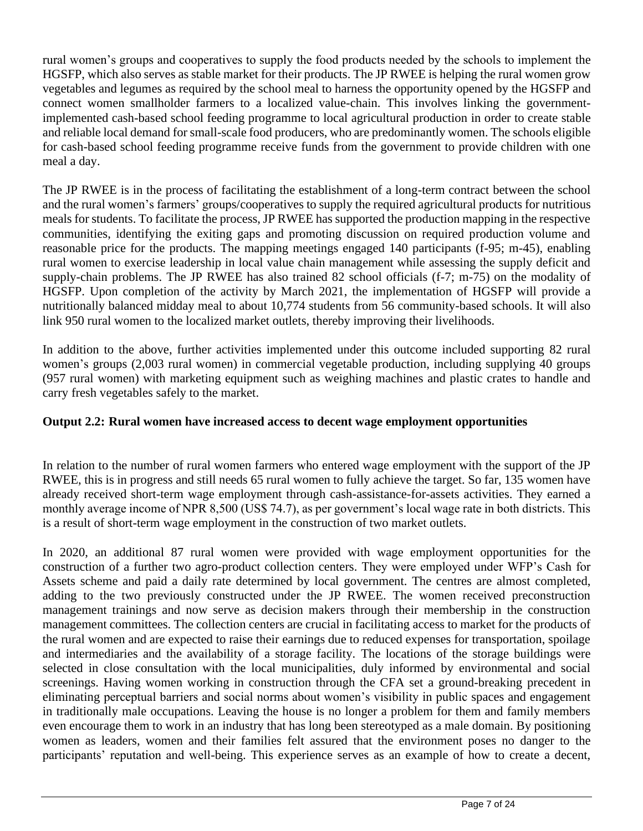rural women's groups and cooperatives to supply the food products needed by the schools to implement the HGSFP, which also serves as stable market for their products. The JP RWEE is helping the rural women grow vegetables and legumes as required by the school meal to harness the opportunity opened by the HGSFP and connect women smallholder farmers to a localized value-chain. This involves linking the governmentimplemented cash-based school feeding programme to local agricultural production in order to create stable and reliable local demand for small-scale food producers, who are predominantly women. The schools eligible for cash-based school feeding programme receive funds from the government to provide children with one meal a day.

The JP RWEE is in the process of facilitating the establishment of a long-term contract between the school and the rural women's farmers' groups/cooperatives to supply the required agricultural products for nutritious meals for students. To facilitate the process, JP RWEE has supported the production mapping in the respective communities, identifying the exiting gaps and promoting discussion on required production volume and reasonable price for the products. The mapping meetings engaged 140 participants (f-95; m-45), enabling rural women to exercise leadership in local value chain management while assessing the supply deficit and supply-chain problems. The JP RWEE has also trained 82 school officials (f-7; m-75) on the modality of HGSFP. Upon completion of the activity by March 2021, the implementation of HGSFP will provide a nutritionally balanced midday meal to about 10,774 students from 56 community-based schools. It will also link 950 rural women to the localized market outlets, thereby improving their livelihoods.

In addition to the above, further activities implemented under this outcome included supporting 82 rural women's groups (2,003 rural women) in commercial vegetable production, including supplying 40 groups (957 rural women) with marketing equipment such as weighing machines and plastic crates to handle and carry fresh vegetables safely to the market.

## **Output 2.2: Rural women have increased access to decent wage employment opportunities**

In relation to the number of rural women farmers who entered wage employment with the support of the JP RWEE, this is in progress and still needs 65 rural women to fully achieve the target. So far, 135 women have already received short-term wage employment through cash-assistance-for-assets activities. They earned a monthly average income of NPR 8,500 (US\$ 74.7), as per government's local wage rate in both districts. This is a result of short-term wage employment in the construction of two market outlets.

In 2020, an additional 87 rural women were provided with wage employment opportunities for the construction of a further two agro-product collection centers. They were employed under WFP's Cash for Assets scheme and paid a daily rate determined by local government. The centres are almost completed, adding to the two previously constructed under the JP RWEE. The women received preconstruction management trainings and now serve as decision makers through their membership in the construction management committees. The collection centers are crucial in facilitating access to market for the products of the rural women and are expected to raise their earnings due to reduced expenses for transportation, spoilage and intermediaries and the availability of a storage facility. The locations of the storage buildings were selected in close consultation with the local municipalities, duly informed by environmental and social screenings. Having women working in construction through the CFA set a ground-breaking precedent in eliminating perceptual barriers and social norms about women's visibility in public spaces and engagement in traditionally male occupations. Leaving the house is no longer a problem for them and family members even encourage them to work in an industry that has long been stereotyped as a male domain. By positioning women as leaders, women and their families felt assured that the environment poses no danger to the participants' reputation and well-being. This experience serves as an example of how to create a decent,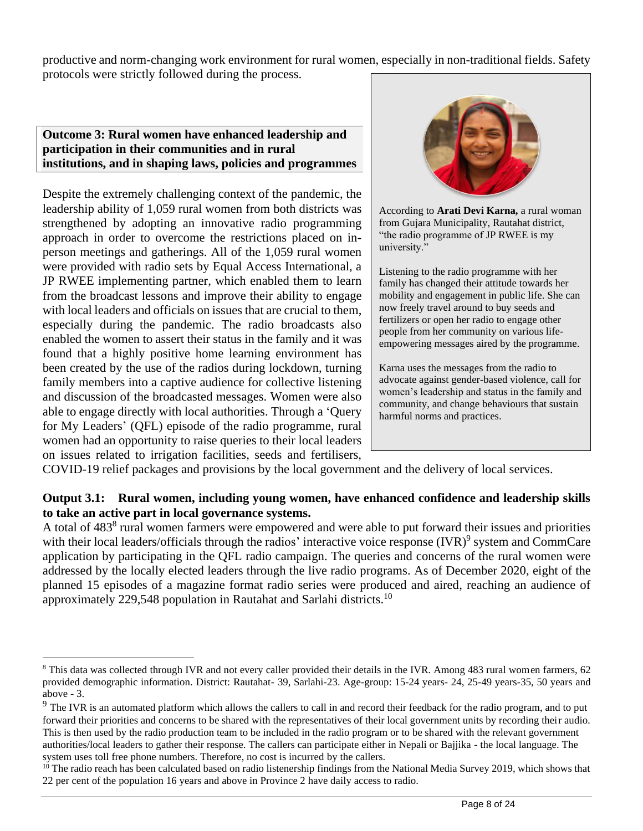productive and norm-changing work environment for rural women, especially in non-traditional fields. Safety protocols were strictly followed during the process.

### **Outcome 3: Rural women have enhanced leadership and participation in their communities and in rural institutions, and in shaping laws, policies and programmes**

Despite the extremely challenging context of the pandemic, the leadership ability of 1,059 rural women from both districts was strengthened by adopting an innovative radio programming approach in order to overcome the restrictions placed on inperson meetings and gatherings. All of the 1,059 rural women were provided with radio sets by Equal Access International, a JP RWEE implementing partner, which enabled them to learn from the broadcast lessons and improve their ability to engage with local leaders and officials on issues that are crucial to them, especially during the pandemic. The radio broadcasts also enabled the women to assert their status in the family and it was found that a highly positive home learning environment has been created by the use of the radios during lockdown, turning family members into a captive audience for collective listening and discussion of the broadcasted messages. Women were also able to engage directly with local authorities. Through a 'Query for My Leaders' (QFL) episode of the radio programme, rural women had an opportunity to raise queries to their local leaders on issues related to irrigation facilities, seeds and fertilisers,



According to **Arati Devi Karna,** a rural woman from Gujara Municipality, Rautahat district, "the radio programme of JP RWEE is my university."

Listening to the radio programme with her family has changed their attitude towards her mobility and engagement in public life. She can now freely travel around to buy seeds and fertilizers or open her radio to engage other people from her community on various lifeempowering messages aired by the programme.

Karna uses the messages from the radio to advocate against gender-based violence, call for women's leadership and status in the family and community, and change behaviours that sustain harmful norms and practices.

COVID-19 relief packages and provisions by the local government and the delivery of local services.

### **Output 3.1: Rural women, including young women, have enhanced confidence and leadership skills to take an active part in local governance systems.**

A total of 483<sup>8</sup> rural women farmers were empowered and were able to put forward their issues and priorities with their local leaders/officials through the radios' interactive voice response (IVR)<sup>9</sup> system and CommCare application by participating in the QFL radio campaign. The queries and concerns of the rural women were addressed by the locally elected leaders through the live radio programs. As of December 2020, eight of the planned 15 episodes of a magazine format radio series were produced and aired, reaching an audience of approximately 229,548 population in Rautahat and Sarlahi districts.<sup>10</sup>

<sup>&</sup>lt;sup>8</sup> This data was collected through IVR and not every caller provided their details in the IVR. Among 483 rural women farmers, 62 provided demographic information. District: Rautahat- 39, Sarlahi-23. Age-group: 15-24 years- 24, 25-49 years-35, 50 years and above - 3.

<sup>&</sup>lt;sup>9</sup> The IVR is an automated platform which allows the callers to call in and record their feedback for the radio program, and to put forward their priorities and concerns to be shared with the representatives of their local government units by recording their audio. This is then used by the radio production team to be included in the radio program or to be shared with the relevant government authorities/local leaders to gather their response. The callers can participate either in Nepali or Bajjika - the local language. The system uses toll free phone numbers. Therefore, no cost is incurred by the callers.

 $10$  The radio reach has been calculated based on radio listenership findings from the National Media Survey 2019, which shows that 22 per cent of the population 16 years and above in Province 2 have daily access to radio.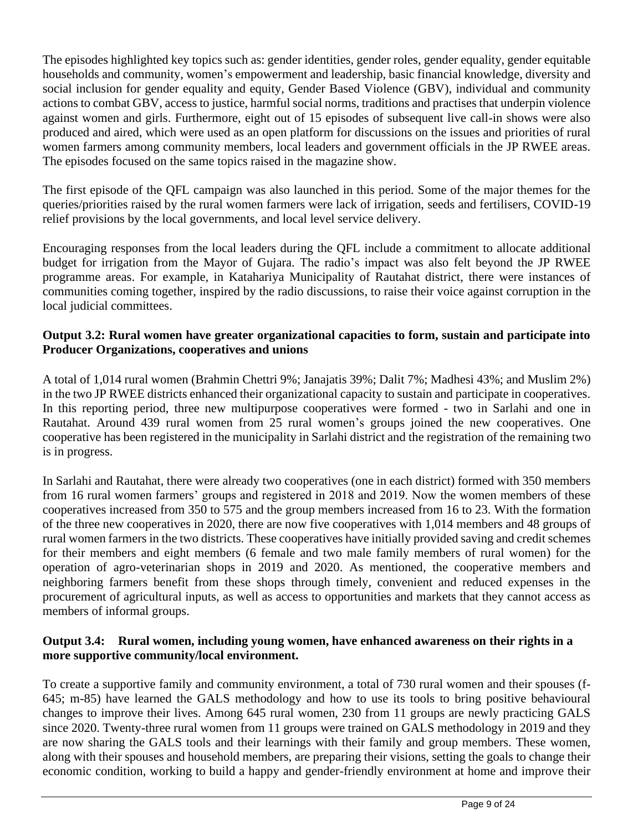The episodes highlighted key topics such as: gender identities, gender roles, gender equality, gender equitable households and community, women's empowerment and leadership, basic financial knowledge, diversity and social inclusion for gender equality and equity, Gender Based Violence (GBV), individual and community actions to combat GBV, access to justice, harmful social norms, traditions and practises that underpin violence against women and girls. Furthermore, eight out of 15 episodes of subsequent live call-in shows were also produced and aired, which were used as an open platform for discussions on the issues and priorities of rural women farmers among community members, local leaders and government officials in the JP RWEE areas. The episodes focused on the same topics raised in the magazine show.

The first episode of the QFL campaign was also launched in this period. Some of the major themes for the queries/priorities raised by the rural women farmers were lack of irrigation, seeds and fertilisers, COVID-19 relief provisions by the local governments, and local level service delivery.

Encouraging responses from the local leaders during the QFL include a commitment to allocate additional budget for irrigation from the Mayor of Gujara. The radio's impact was also felt beyond the JP RWEE programme areas. For example, in Katahariya Municipality of Rautahat district, there were instances of communities coming together, inspired by the radio discussions, to raise their voice against corruption in the local judicial committees.

### **Output 3.2: Rural women have greater organizational capacities to form, sustain and participate into Producer Organizations, cooperatives and unions**

A total of 1,014 rural women (Brahmin Chettri 9%; Janajatis 39%; Dalit 7%; Madhesi 43%; and Muslim 2%) in the two JP RWEE districts enhanced their organizational capacity to sustain and participate in cooperatives. In this reporting period, three new multipurpose cooperatives were formed - two in Sarlahi and one in Rautahat. Around 439 rural women from 25 rural women's groups joined the new cooperatives. One cooperative has been registered in the municipality in Sarlahi district and the registration of the remaining two is in progress.

In Sarlahi and Rautahat, there were already two cooperatives (one in each district) formed with 350 members from 16 rural women farmers' groups and registered in 2018 and 2019. Now the women members of these cooperatives increased from 350 to 575 and the group members increased from 16 to 23. With the formation of the three new cooperatives in 2020, there are now five cooperatives with 1,014 members and 48 groups of rural women farmers in the two districts. These cooperatives have initially provided saving and credit schemes for their members and eight members (6 female and two male family members of rural women) for the operation of agro-veterinarian shops in 2019 and 2020. As mentioned, the cooperative members and neighboring farmers benefit from these shops through timely, convenient and reduced expenses in the procurement of agricultural inputs, as well as access to opportunities and markets that they cannot access as members of informal groups.

### **Output 3.4: Rural women, including young women, have enhanced awareness on their rights in a more supportive community/local environment.**

To create a supportive family and community environment, a total of 730 rural women and their spouses (f-645; m-85) have learned the GALS methodology and how to use its tools to bring positive behavioural changes to improve their lives. Among 645 rural women, 230 from 11 groups are newly practicing GALS since 2020. Twenty-three rural women from 11 groups were trained on GALS methodology in 2019 and they are now sharing the GALS tools and their learnings with their family and group members. These women, along with their spouses and household members, are preparing their visions, setting the goals to change their economic condition, working to build a happy and gender-friendly environment at home and improve their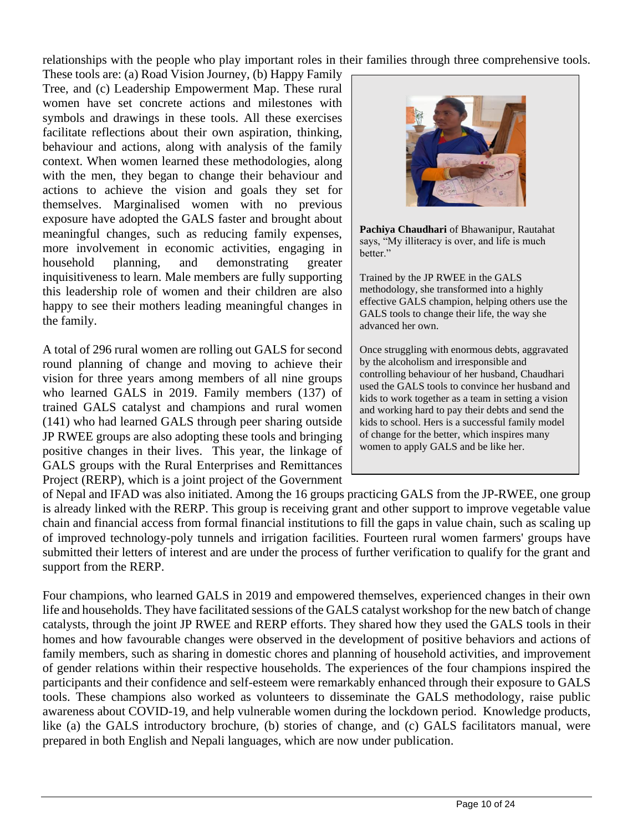relationships with the people who play important roles in their families through three comprehensive tools.

These tools are: (a) Road Vision Journey, (b) Happy Family Tree, and (c) Leadership Empowerment Map. These rural women have set concrete actions and milestones with symbols and drawings in these tools. All these exercises facilitate reflections about their own aspiration, thinking, behaviour and actions, along with analysis of the family context. When women learned these methodologies, along with the men, they began to change their behaviour and actions to achieve the vision and goals they set for themselves. Marginalised women with no previous exposure have adopted the GALS faster and brought about meaningful changes, such as reducing family expenses, more involvement in economic activities, engaging in household planning, and demonstrating greater inquisitiveness to learn. Male members are fully supporting this leadership role of women and their children are also happy to see their mothers leading meaningful changes in the family.

A total of 296 rural women are rolling out GALS for second round planning of change and moving to achieve their vision for three years among members of all nine groups who learned GALS in 2019. Family members (137) of trained GALS catalyst and champions and rural women (141) who had learned GALS through peer sharing outside JP RWEE groups are also adopting these tools and bringing positive changes in their lives. This year, the linkage of GALS groups with the Rural Enterprises and Remittances Project (RERP), which is a joint project of the Government



**Pachiya Chaudhari** of Bhawanipur, Rautahat says, "My illiteracy is over, and life is much better."

Trained by the JP RWEE in the GALS methodology, she transformed into a highly effective GALS champion, helping others use the GALS tools to change their life, the way she advanced her own.

Once struggling with enormous debts, aggravated by the alcoholism and irresponsible and controlling behaviour of her husband, Chaudhari used the GALS tools to convince her husband and kids to work together as a team in setting a vision and working hard to pay their debts and send the kids to school. Hers is a successful family model of change for the better, which inspires many women to apply GALS and be like her.

of Nepal and IFAD was also initiated. Among the 16 groups practicing GALS from the JP-RWEE, one group is already linked with the RERP. This group is receiving grant and other support to improve vegetable value chain and financial access from formal financial institutions to fill the gaps in value chain, such as scaling up of improved technology-poly tunnels and irrigation facilities. Fourteen rural women farmers' groups have submitted their letters of interest and are under the process of further verification to qualify for the grant and support from the RERP.

Four champions, who learned GALS in 2019 and empowered themselves, experienced changes in their own life and households. They have facilitated sessions of the GALS catalyst workshop for the new batch of change catalysts, through the joint JP RWEE and RERP efforts. They shared how they used the GALS tools in their homes and how favourable changes were observed in the development of positive behaviors and actions of family members, such as sharing in domestic chores and planning of household activities, and improvement of gender relations within their respective households. The experiences of the four champions inspired the participants and their confidence and self-esteem were remarkably enhanced through their exposure to GALS tools. These champions also worked as volunteers to disseminate the GALS methodology, raise public awareness about COVID-19, and help vulnerable women during the lockdown period. Knowledge products, like (a) the GALS introductory brochure, (b) stories of change, and (c) GALS facilitators manual, were prepared in both English and Nepali languages, which are now under publication.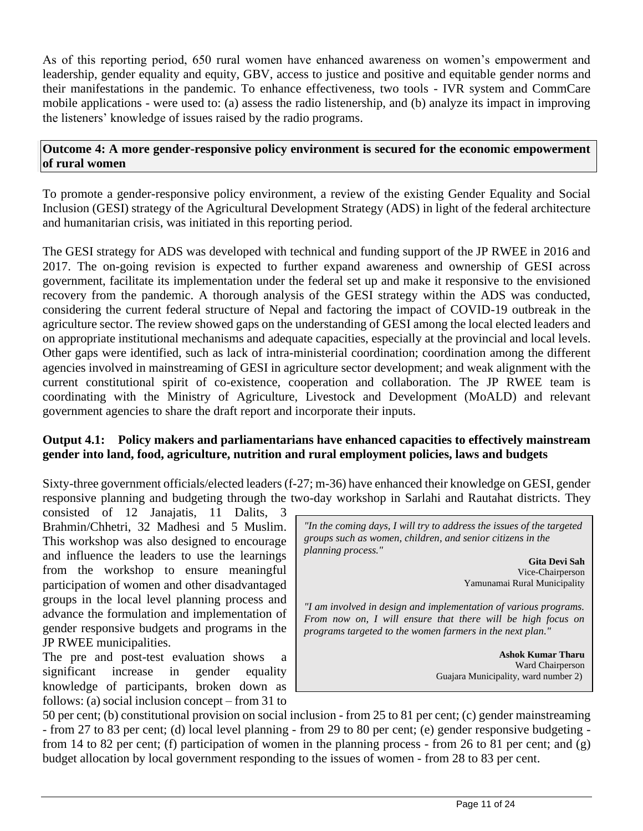As of this reporting period, 650 rural women have enhanced awareness on women's empowerment and leadership, gender equality and equity, GBV, access to justice and positive and equitable gender norms and their manifestations in the pandemic. To enhance effectiveness, two tools - IVR system and CommCare mobile applications - were used to: (a) assess the radio listenership, and (b) analyze its impact in improving the listeners' knowledge of issues raised by the radio programs.

#### **Outcome 4: A more gender-responsive policy environment is secured for the economic empowerment of rural women**

To promote a gender-responsive policy environment, a review of the existing Gender Equality and Social Inclusion (GESI) strategy of the Agricultural Development Strategy (ADS) in light of the federal architecture and humanitarian crisis, was initiated in this reporting period.

The GESI strategy for ADS was developed with technical and funding support of the JP RWEE in 2016 and 2017. The on-going revision is expected to further expand awareness and ownership of GESI across government, facilitate its implementation under the federal set up and make it responsive to the envisioned recovery from the pandemic. A thorough analysis of the GESI strategy within the ADS was conducted, considering the current federal structure of Nepal and factoring the impact of COVID-19 outbreak in the agriculture sector. The review showed gaps on the understanding of GESI among the local elected leaders and on appropriate institutional mechanisms and adequate capacities, especially at the provincial and local levels. Other gaps were identified, such as lack of intra-ministerial coordination; coordination among the different agencies involved in mainstreaming of GESI in agriculture sector development; and weak alignment with the current constitutional spirit of co-existence, cooperation and collaboration. The JP RWEE team is coordinating with the Ministry of Agriculture, Livestock and Development (MoALD) and relevant government agencies to share the draft report and incorporate their inputs.

### **Output 4.1: Policy makers and parliamentarians have enhanced capacities to effectively mainstream gender into land, food, agriculture, nutrition and rural employment policies, laws and budgets**

Sixty-three government officials/elected leaders (f-27; m-36) have enhanced their knowledge on GESI, gender responsive planning and budgeting through the two-day workshop in Sarlahi and Rautahat districts. They

consisted of 12 Janajatis, 11 Dalits, 3 Brahmin/Chhetri, 32 Madhesi and 5 Muslim. This workshop was also designed to encourage and influence the leaders to use the learnings from the workshop to ensure meaningful participation of women and other disadvantaged groups in the local level planning process and advance the formulation and implementation of gender responsive budgets and programs in the JP RWEE municipalities.

The pre and post-test evaluation shows a significant increase in gender equality knowledge of participants, broken down as follows: (a) social inclusion concept – from 31 to

*"In the coming days, I will try to address the issues of the targeted groups such as women, children, and senior citizens in the planning process."*

> **Gita Devi Sah** Vice-Chairperson Yamunamai Rural Municipality

*"I am involved in design and implementation of various programs. From now on, I will ensure that there will be high focus on programs targeted to the women farmers in the next plan."* 

> **Ashok Kumar Tharu** Ward Chairperson Guajara Municipality, ward number 2)

50 per cent; (b) constitutional provision on social inclusion - from 25 to 81 per cent; (c) gender mainstreaming - from 27 to 83 per cent; (d) local level planning - from 29 to 80 per cent; (e) gender responsive budgeting from 14 to 82 per cent; (f) participation of women in the planning process - from 26 to 81 per cent; and (g) budget allocation by local government responding to the issues of women - from 28 to 83 per cent.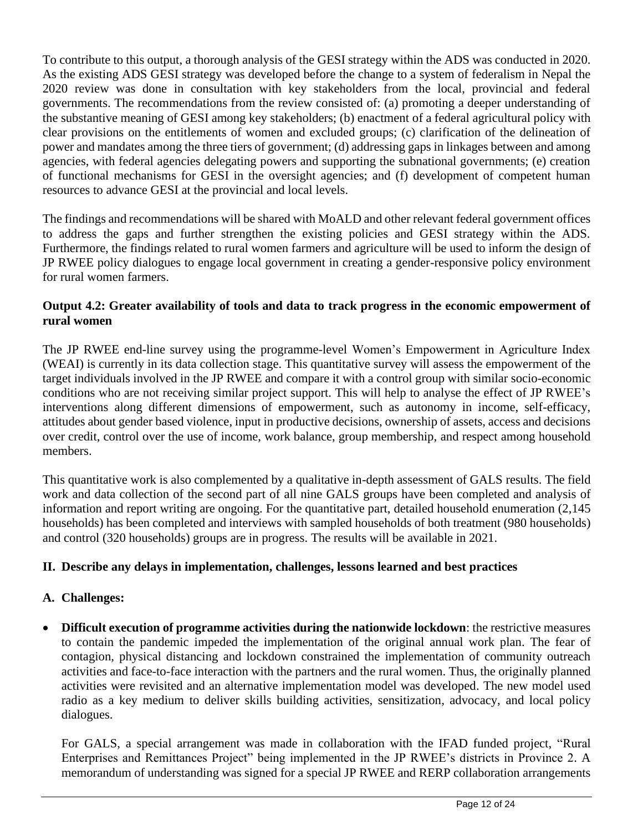To contribute to this output, a thorough analysis of the GESI strategy within the ADS was conducted in 2020. As the existing ADS GESI strategy was developed before the change to a system of federalism in Nepal the 2020 review was done in consultation with key stakeholders from the local, provincial and federal governments. The recommendations from the review consisted of: (a) promoting a deeper understanding of the substantive meaning of GESI among key stakeholders; (b) enactment of a federal agricultural policy with clear provisions on the entitlements of women and excluded groups; (c) clarification of the delineation of power and mandates among the three tiers of government; (d) addressing gaps in linkages between and among agencies, with federal agencies delegating powers and supporting the subnational governments; (e) creation of functional mechanisms for GESI in the oversight agencies; and (f) development of competent human resources to advance GESI at the provincial and local levels.

The findings and recommendations will be shared with MoALD and other relevant federal government offices to address the gaps and further strengthen the existing policies and GESI strategy within the ADS. Furthermore, the findings related to rural women farmers and agriculture will be used to inform the design of JP RWEE policy dialogues to engage local government in creating a gender-responsive policy environment for rural women farmers.

## **Output 4.2: Greater availability of tools and data to track progress in the economic empowerment of rural women**

The JP RWEE end-line survey using the programme-level Women's Empowerment in Agriculture Index (WEAI) is currently in its data collection stage. This quantitative survey will assess the empowerment of the target individuals involved in the JP RWEE and compare it with a control group with similar socio-economic conditions who are not receiving similar project support. This will help to analyse the effect of JP RWEE's interventions along different dimensions of empowerment, such as autonomy in income, self-efficacy, attitudes about gender based violence, input in productive decisions, ownership of assets, access and decisions over credit, control over the use of income, work balance, group membership, and respect among household members.

This quantitative work is also complemented by a qualitative in-depth assessment of GALS results. The field work and data collection of the second part of all nine GALS groups have been completed and analysis of information and report writing are ongoing. For the quantitative part, detailed household enumeration (2,145 households) has been completed and interviews with sampled households of both treatment (980 households) and control (320 households) groups are in progress. The results will be available in 2021.

# **II. Describe any delays in implementation, challenges, lessons learned and best practices**

### **A. Challenges:**

• **Difficult execution of programme activities during the nationwide lockdown**: the restrictive measures to contain the pandemic impeded the implementation of the original annual work plan. The fear of contagion, physical distancing and lockdown constrained the implementation of community outreach activities and face-to-face interaction with the partners and the rural women. Thus, the originally planned activities were revisited and an alternative implementation model was developed. The new model used radio as a key medium to deliver skills building activities, sensitization, advocacy, and local policy dialogues.

For GALS, a special arrangement was made in collaboration with the IFAD funded project, "Rural Enterprises and Remittances Project" being implemented in the JP RWEE's districts in Province 2. A memorandum of understanding was signed for a special JP RWEE and RERP collaboration arrangements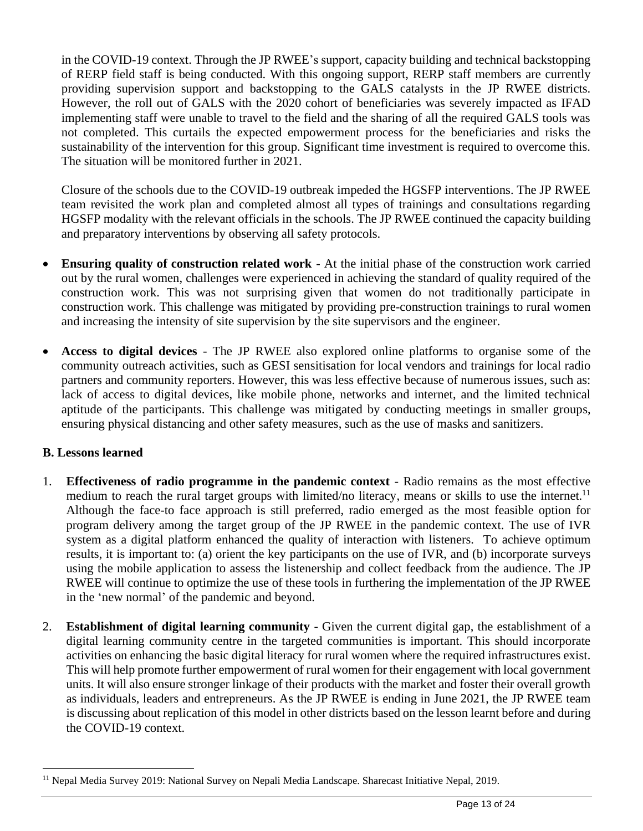in the COVID-19 context. Through the JP RWEE's support, capacity building and technical backstopping of RERP field staff is being conducted. With this ongoing support, RERP staff members are currently providing supervision support and backstopping to the GALS catalysts in the JP RWEE districts. However, the roll out of GALS with the 2020 cohort of beneficiaries was severely impacted as IFAD implementing staff were unable to travel to the field and the sharing of all the required GALS tools was not completed. This curtails the expected empowerment process for the beneficiaries and risks the sustainability of the intervention for this group. Significant time investment is required to overcome this. The situation will be monitored further in 2021.

Closure of the schools due to the COVID-19 outbreak impeded the HGSFP interventions. The JP RWEE team revisited the work plan and completed almost all types of trainings and consultations regarding HGSFP modality with the relevant officials in the schools. The JP RWEE continued the capacity building and preparatory interventions by observing all safety protocols.

- **Ensuring quality of construction related work** At the initial phase of the construction work carried out by the rural women, challenges were experienced in achieving the standard of quality required of the construction work. This was not surprising given that women do not traditionally participate in construction work. This challenge was mitigated by providing pre-construction trainings to rural women and increasing the intensity of site supervision by the site supervisors and the engineer.
- **Access to digital devices** The JP RWEE also explored online platforms to organise some of the community outreach activities, such as GESI sensitisation for local vendors and trainings for local radio partners and community reporters. However, this was less effective because of numerous issues, such as: lack of access to digital devices, like mobile phone, networks and internet, and the limited technical aptitude of the participants. This challenge was mitigated by conducting meetings in smaller groups, ensuring physical distancing and other safety measures, such as the use of masks and sanitizers.

# **B. Lessons learned**

- 1. **Effectiveness of radio programme in the pandemic context** Radio remains as the most effective medium to reach the rural target groups with limited/no literacy, means or skills to use the internet.<sup>11</sup> Although the face-to face approach is still preferred, radio emerged as the most feasible option for program delivery among the target group of the JP RWEE in the pandemic context. The use of IVR system as a digital platform enhanced the quality of interaction with listeners. To achieve optimum results, it is important to: (a) orient the key participants on the use of IVR, and (b) incorporate surveys using the mobile application to assess the listenership and collect feedback from the audience. The JP RWEE will continue to optimize the use of these tools in furthering the implementation of the JP RWEE in the 'new normal' of the pandemic and beyond.
- 2. **Establishment of digital learning community -** Given the current digital gap, the establishment of a digital learning community centre in the targeted communities is important. This should incorporate activities on enhancing the basic digital literacy for rural women where the required infrastructures exist. This will help promote further empowerment of rural women for their engagement with local government units. It will also ensure stronger linkage of their products with the market and foster their overall growth as individuals, leaders and entrepreneurs. As the JP RWEE is ending in June 2021, the JP RWEE team is discussing about replication of this model in other districts based on the lesson learnt before and during the COVID-19 context.

<sup>11</sup> Nepal Media Survey 2019: National Survey on Nepali Media Landscape. Sharecast Initiative Nepal, 2019.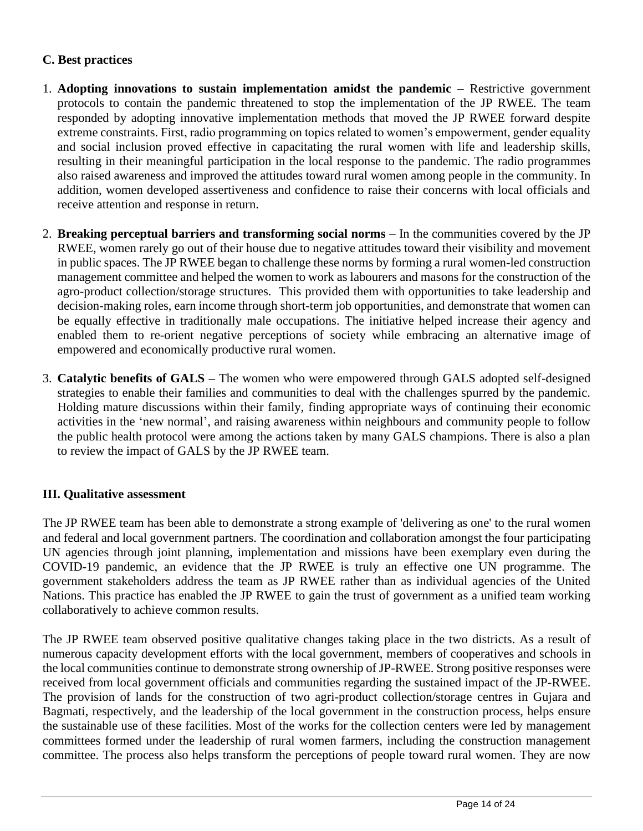## **C. Best practices**

- 1. **Adopting innovations to sustain implementation amidst the pandemic** Restrictive government protocols to contain the pandemic threatened to stop the implementation of the JP RWEE. The team responded by adopting innovative implementation methods that moved the JP RWEE forward despite extreme constraints. First, radio programming on topics related to women's empowerment, gender equality and social inclusion proved effective in capacitating the rural women with life and leadership skills, resulting in their meaningful participation in the local response to the pandemic. The radio programmes also raised awareness and improved the attitudes toward rural women among people in the community. In addition, women developed assertiveness and confidence to raise their concerns with local officials and receive attention and response in return.
- 2. **Breaking perceptual barriers and transforming social norms** In the communities covered by the JP RWEE, women rarely go out of their house due to negative attitudes toward their visibility and movement in public spaces. The JP RWEE began to challenge these norms by forming a rural women-led construction management committee and helped the women to work as labourers and masons for the construction of the agro-product collection/storage structures. This provided them with opportunities to take leadership and decision-making roles, earn income through short-term job opportunities, and demonstrate that women can be equally effective in traditionally male occupations. The initiative helped increase their agency and enabled them to re-orient negative perceptions of society while embracing an alternative image of empowered and economically productive rural women.
- 3. **Catalytic benefits of GALS –** The women who were empowered through GALS adopted self-designed strategies to enable their families and communities to deal with the challenges spurred by the pandemic. Holding mature discussions within their family, finding appropriate ways of continuing their economic activities in the 'new normal', and raising awareness within neighbours and community people to follow the public health protocol were among the actions taken by many GALS champions. There is also a plan to review the impact of GALS by the JP RWEE team.

# **III. Qualitative assessment**

The JP RWEE team has been able to demonstrate a strong example of 'delivering as one' to the rural women and federal and local government partners. The coordination and collaboration amongst the four participating UN agencies through joint planning, implementation and missions have been exemplary even during the COVID-19 pandemic, an evidence that the JP RWEE is truly an effective one UN programme. The government stakeholders address the team as JP RWEE rather than as individual agencies of the United Nations. This practice has enabled the JP RWEE to gain the trust of government as a unified team working collaboratively to achieve common results.

The JP RWEE team observed positive qualitative changes taking place in the two districts. As a result of numerous capacity development efforts with the local government, members of cooperatives and schools in the local communities continue to demonstrate strong ownership of JP-RWEE. Strong positive responses were received from local government officials and communities regarding the sustained impact of the JP-RWEE. The provision of lands for the construction of two agri-product collection/storage centres in Gujara and Bagmati, respectively, and the leadership of the local government in the construction process, helps ensure the sustainable use of these facilities. Most of the works for the collection centers were led by management committees formed under the leadership of rural women farmers, including the construction management committee. The process also helps transform the perceptions of people toward rural women. They are now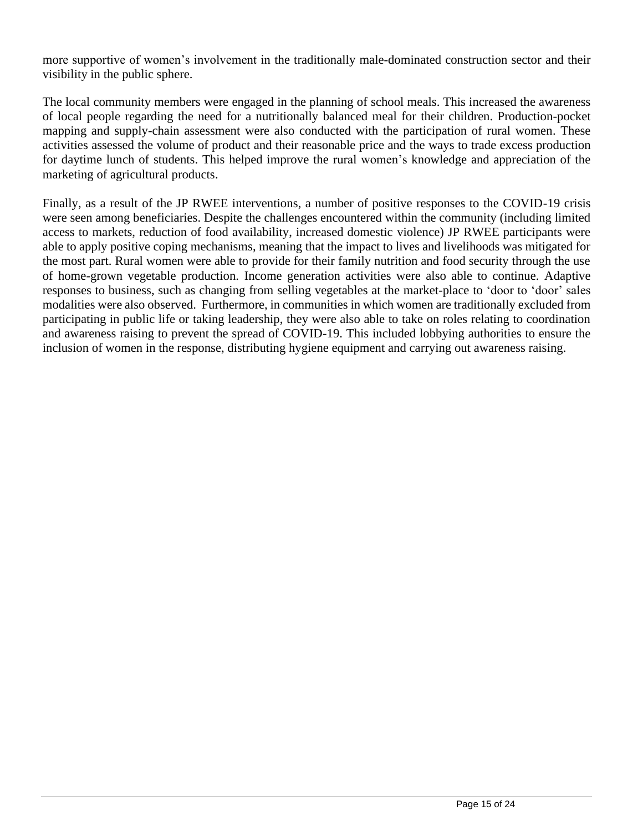more supportive of women's involvement in the traditionally male-dominated construction sector and their visibility in the public sphere.

The local community members were engaged in the planning of school meals. This increased the awareness of local people regarding the need for a nutritionally balanced meal for their children. Production-pocket mapping and supply-chain assessment were also conducted with the participation of rural women. These activities assessed the volume of product and their reasonable price and the ways to trade excess production for daytime lunch of students. This helped improve the rural women's knowledge and appreciation of the marketing of agricultural products.

Finally, as a result of the JP RWEE interventions, a number of positive responses to the COVID-19 crisis were seen among beneficiaries. Despite the challenges encountered within the community (including limited access to markets, reduction of food availability, increased domestic violence) JP RWEE participants were able to apply positive coping mechanisms, meaning that the impact to lives and livelihoods was mitigated for the most part. Rural women were able to provide for their family nutrition and food security through the use of home-grown vegetable production. Income generation activities were also able to continue. Adaptive responses to business, such as changing from selling vegetables at the market-place to 'door to 'door' sales modalities were also observed. Furthermore, in communities in which women are traditionally excluded from participating in public life or taking leadership, they were also able to take on roles relating to coordination and awareness raising to prevent the spread of COVID-19. This included lobbying authorities to ensure the inclusion of women in the response, distributing hygiene equipment and carrying out awareness raising.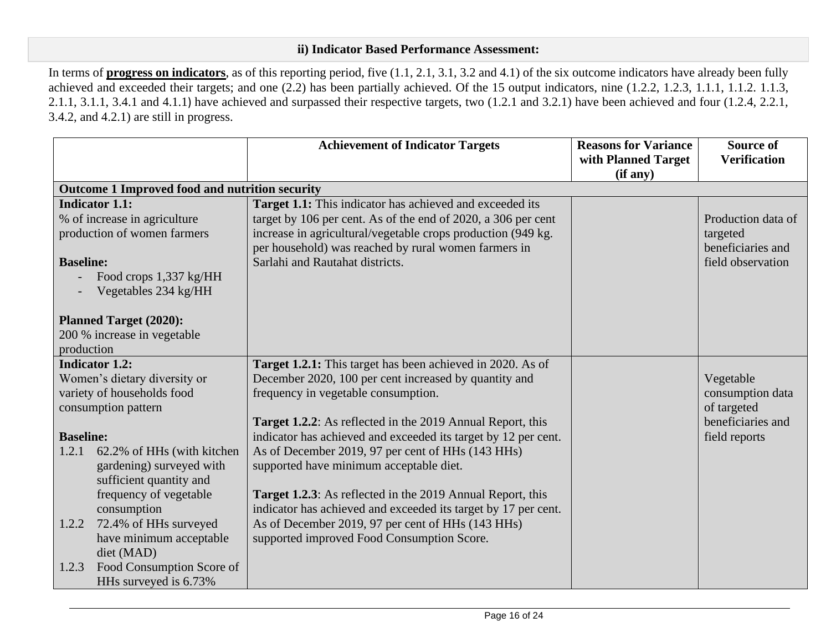### **ii) Indicator Based Performance Assessment:**

In terms of **progress on indicators**, as of this reporting period, five (1.1, 2.1, 3.1, 3.2 and 4.1) of the six outcome indicators have already been fully achieved and exceeded their targets; and one (2.2) has been partially achieved. Of the 15 output indicators, nine (1.2.2, 1.2.3, 1.1.1, 1.1.2. 1.1.3, 2.1.1, 3.1.1, 3.4.1 and 4.1.1) have achieved and surpassed their respective targets, two (1.2.1 and 3.2.1) have been achieved and four (1.2.4, 2.2.1, 3.4.2, and 4.2.1) are still in progress.

|                  |                                                | <b>Achievement of Indicator Targets</b>                                                                              | <b>Reasons for Variance</b><br>with Planned Target<br>(if any) | <b>Source of</b><br><b>Verification</b> |
|------------------|------------------------------------------------|----------------------------------------------------------------------------------------------------------------------|----------------------------------------------------------------|-----------------------------------------|
|                  | Outcome 1 Improved food and nutrition security |                                                                                                                      |                                                                |                                         |
|                  | <b>Indicator 1.1:</b>                          | Target 1.1: This indicator has achieved and exceeded its                                                             |                                                                |                                         |
|                  | % of increase in agriculture                   | target by 106 per cent. As of the end of 2020, a 306 per cent                                                        |                                                                | Production data of                      |
|                  | production of women farmers                    | increase in agricultural/vegetable crops production (949 kg.<br>per household) was reached by rural women farmers in |                                                                | targeted<br>beneficiaries and           |
| <b>Baseline:</b> |                                                | Sarlahi and Rautahat districts.                                                                                      |                                                                | field observation                       |
|                  | Food crops 1,337 kg/HH                         |                                                                                                                      |                                                                |                                         |
|                  | Vegetables 234 kg/HH                           |                                                                                                                      |                                                                |                                         |
|                  | <b>Planned Target (2020):</b>                  |                                                                                                                      |                                                                |                                         |
|                  | 200 % increase in vegetable                    |                                                                                                                      |                                                                |                                         |
| production       |                                                |                                                                                                                      |                                                                |                                         |
|                  | <b>Indicator 1.2:</b>                          | Target 1.2.1: This target has been achieved in 2020. As of                                                           |                                                                |                                         |
|                  | Women's dietary diversity or                   | December 2020, 100 per cent increased by quantity and                                                                |                                                                | Vegetable                               |
|                  | variety of households food                     | frequency in vegetable consumption.                                                                                  |                                                                | consumption data                        |
|                  | consumption pattern                            |                                                                                                                      |                                                                | of targeted                             |
|                  |                                                | <b>Target 1.2.2:</b> As reflected in the 2019 Annual Report, this                                                    |                                                                | beneficiaries and                       |
| <b>Baseline:</b> |                                                | indicator has achieved and exceeded its target by 12 per cent.                                                       |                                                                | field reports                           |
| 1.2.1            | 62.2% of HHs (with kitchen                     | As of December 2019, 97 per cent of HHs (143 HHs)                                                                    |                                                                |                                         |
|                  | gardening) surveyed with                       | supported have minimum acceptable diet.                                                                              |                                                                |                                         |
|                  | sufficient quantity and                        |                                                                                                                      |                                                                |                                         |
|                  | frequency of vegetable                         | <b>Target 1.2.3:</b> As reflected in the 2019 Annual Report, this                                                    |                                                                |                                         |
|                  | consumption                                    | indicator has achieved and exceeded its target by 17 per cent.                                                       |                                                                |                                         |
| 1.2.2            | 72.4% of HHs surveyed                          | As of December 2019, 97 per cent of HHs (143 HHs)                                                                    |                                                                |                                         |
|                  | have minimum acceptable                        | supported improved Food Consumption Score.                                                                           |                                                                |                                         |
|                  | diet (MAD)                                     |                                                                                                                      |                                                                |                                         |
| 1.2.3            | Food Consumption Score of                      |                                                                                                                      |                                                                |                                         |
|                  | HHs surveyed is 6.73%                          |                                                                                                                      |                                                                |                                         |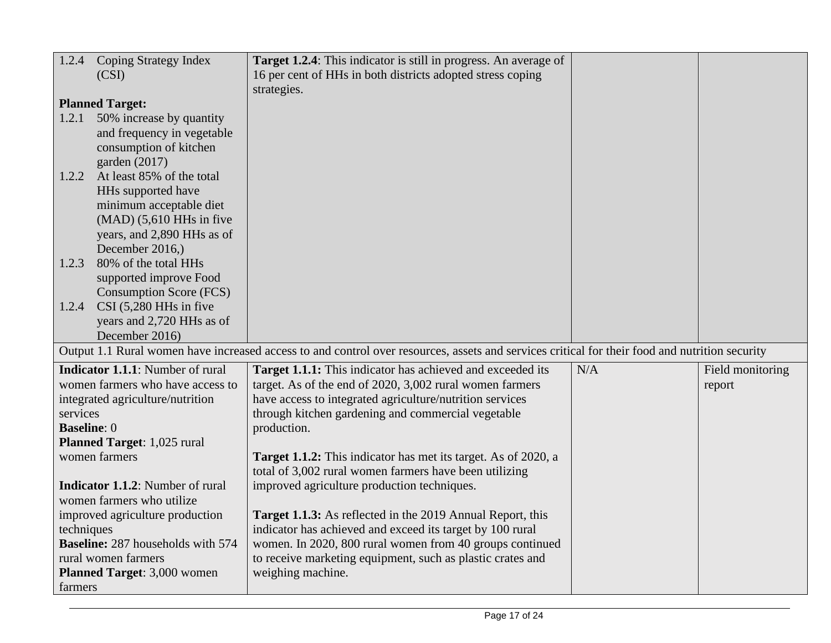| 1.2.4              | <b>Coping Strategy Index</b>             | Target 1.2.4: This indicator is still in progress. An average of                                                                               |     |                  |
|--------------------|------------------------------------------|------------------------------------------------------------------------------------------------------------------------------------------------|-----|------------------|
|                    | (CSI)                                    | 16 per cent of HHs in both districts adopted stress coping                                                                                     |     |                  |
|                    |                                          | strategies.                                                                                                                                    |     |                  |
|                    | <b>Planned Target:</b>                   |                                                                                                                                                |     |                  |
| 1.2.1              | 50% increase by quantity                 |                                                                                                                                                |     |                  |
|                    | and frequency in vegetable               |                                                                                                                                                |     |                  |
|                    | consumption of kitchen                   |                                                                                                                                                |     |                  |
|                    | garden $(2017)$                          |                                                                                                                                                |     |                  |
| 1.2.2              | At least 85% of the total                |                                                                                                                                                |     |                  |
|                    | HHs supported have                       |                                                                                                                                                |     |                  |
|                    | minimum acceptable diet                  |                                                                                                                                                |     |                  |
|                    | $(MAD)$ (5,610 HHs in five               |                                                                                                                                                |     |                  |
|                    | years, and 2,890 HHs as of               |                                                                                                                                                |     |                  |
|                    | December 2016,)<br>80% of the total HHs  |                                                                                                                                                |     |                  |
| 1.2.3              | supported improve Food                   |                                                                                                                                                |     |                  |
|                    | <b>Consumption Score (FCS)</b>           |                                                                                                                                                |     |                  |
| 1.2.4              | CSI (5,280 HHs in five                   |                                                                                                                                                |     |                  |
|                    | years and 2,720 HHs as of                |                                                                                                                                                |     |                  |
|                    | December 2016)                           |                                                                                                                                                |     |                  |
|                    |                                          | Output 1.1 Rural women have increased access to and control over resources, assets and services critical for their food and nutrition security |     |                  |
|                    | <b>Indicator 1.1.1:</b> Number of rural  | Target 1.1.1: This indicator has achieved and exceeded its                                                                                     | N/A | Field monitoring |
|                    | women farmers who have access to         | target. As of the end of 2020, 3,002 rural women farmers                                                                                       |     | report           |
|                    | integrated agriculture/nutrition         | have access to integrated agriculture/nutrition services                                                                                       |     |                  |
| services           |                                          | through kitchen gardening and commercial vegetable                                                                                             |     |                  |
| <b>Baseline: 0</b> |                                          | production.                                                                                                                                    |     |                  |
|                    | Planned Target: 1,025 rural              |                                                                                                                                                |     |                  |
|                    | women farmers                            | Target 1.1.2: This indicator has met its target. As of 2020, a                                                                                 |     |                  |
|                    |                                          | total of 3,002 rural women farmers have been utilizing                                                                                         |     |                  |
|                    | <b>Indicator 1.1.2:</b> Number of rural  | improved agriculture production techniques.                                                                                                    |     |                  |
|                    | women farmers who utilize                |                                                                                                                                                |     |                  |
|                    | improved agriculture production          | Target 1.1.3: As reflected in the 2019 Annual Report, this                                                                                     |     |                  |
| techniques         |                                          | indicator has achieved and exceed its target by 100 rural                                                                                      |     |                  |
|                    | <b>Baseline:</b> 287 households with 574 | women. In 2020, 800 rural women from 40 groups continued                                                                                       |     |                  |
|                    | rural women farmers                      | to receive marketing equipment, such as plastic crates and                                                                                     |     |                  |
|                    | Planned Target: 3,000 women              | weighing machine.                                                                                                                              |     |                  |
| farmers            |                                          |                                                                                                                                                |     |                  |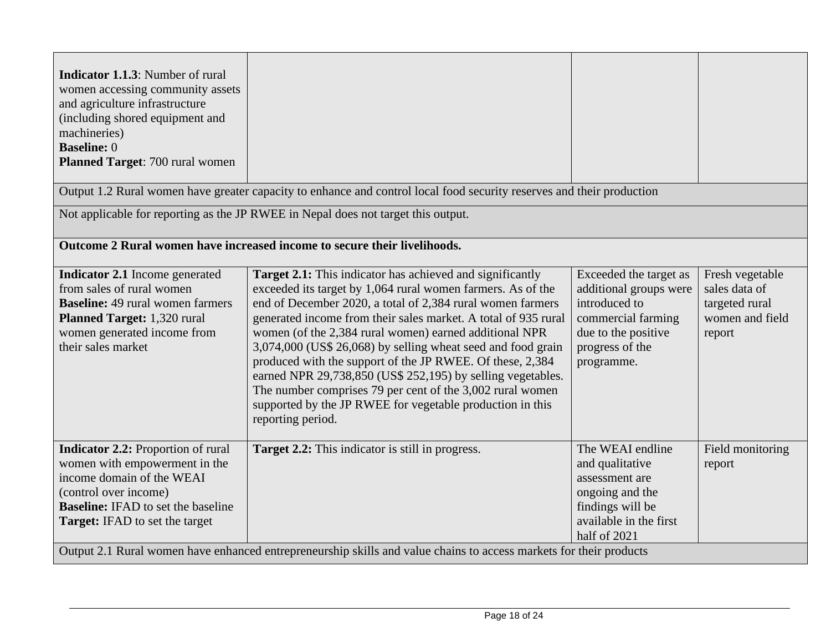| <b>Indicator 1.1.3:</b> Number of rural<br>women accessing community assets<br>and agriculture infrastructure<br>(including shored equipment and<br>machineries)<br><b>Baseline: 0</b><br>Planned Target: 700 rural women |                                                                                                                                                                                                                                                                                                                                                                                                                                                                                                                                                                                                                                                                      |                                                                                                                                                 |                                                                                 |
|---------------------------------------------------------------------------------------------------------------------------------------------------------------------------------------------------------------------------|----------------------------------------------------------------------------------------------------------------------------------------------------------------------------------------------------------------------------------------------------------------------------------------------------------------------------------------------------------------------------------------------------------------------------------------------------------------------------------------------------------------------------------------------------------------------------------------------------------------------------------------------------------------------|-------------------------------------------------------------------------------------------------------------------------------------------------|---------------------------------------------------------------------------------|
|                                                                                                                                                                                                                           | Output 1.2 Rural women have greater capacity to enhance and control local food security reserves and their production                                                                                                                                                                                                                                                                                                                                                                                                                                                                                                                                                |                                                                                                                                                 |                                                                                 |
|                                                                                                                                                                                                                           | Not applicable for reporting as the JP RWEE in Nepal does not target this output.                                                                                                                                                                                                                                                                                                                                                                                                                                                                                                                                                                                    |                                                                                                                                                 |                                                                                 |
|                                                                                                                                                                                                                           | Outcome 2 Rural women have increased income to secure their livelihoods.                                                                                                                                                                                                                                                                                                                                                                                                                                                                                                                                                                                             |                                                                                                                                                 |                                                                                 |
| <b>Indicator 2.1</b> Income generated<br>from sales of rural women<br><b>Baseline:</b> 49 rural women farmers<br>Planned Target: 1,320 rural<br>women generated income from<br>their sales market                         | <b>Target 2.1:</b> This indicator has achieved and significantly<br>exceeded its target by 1,064 rural women farmers. As of the<br>end of December 2020, a total of 2,384 rural women farmers<br>generated income from their sales market. A total of 935 rural<br>women (of the 2,384 rural women) earned additional NPR<br>3,074,000 (US\$ 26,068) by selling wheat seed and food grain<br>produced with the support of the JP RWEE. Of these, 2,384<br>earned NPR 29,738,850 (US\$ 252,195) by selling vegetables.<br>The number comprises 79 per cent of the 3,002 rural women<br>supported by the JP RWEE for vegetable production in this<br>reporting period. | Exceeded the target as<br>additional groups were<br>introduced to<br>commercial farming<br>due to the positive<br>progress of the<br>programme. | Fresh vegetable<br>sales data of<br>targeted rural<br>women and field<br>report |
| <b>Indicator 2.2: Proportion of rural</b><br>women with empowerment in the<br>income domain of the WEAI<br>(control over income)<br><b>Baseline:</b> IFAD to set the baseline<br><b>Target:</b> IFAD to set the target    | Target 2.2: This indicator is still in progress.                                                                                                                                                                                                                                                                                                                                                                                                                                                                                                                                                                                                                     | The WEAI endline<br>and qualitative<br>assessment are<br>ongoing and the<br>findings will be<br>available in the first<br>half of 2021          | Field monitoring<br>report                                                      |
| Output 2.1 Rural women have enhanced entrepreneurship skills and value chains to access markets for their products                                                                                                        |                                                                                                                                                                                                                                                                                                                                                                                                                                                                                                                                                                                                                                                                      |                                                                                                                                                 |                                                                                 |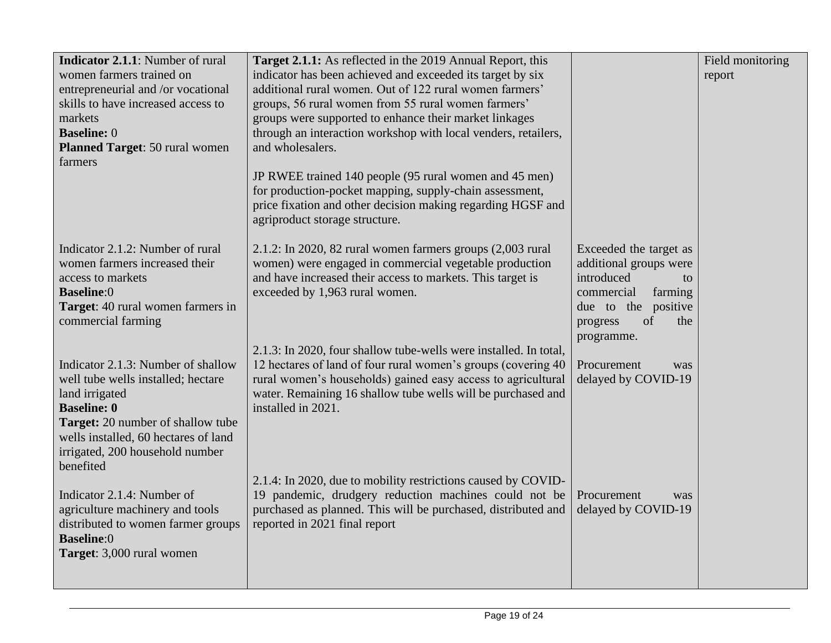| Indicator 2.1.1: Number of rural      | <b>Target 2.1.1:</b> As reflected in the 2019 Annual Report, this                             |                        | Field monitoring |
|---------------------------------------|-----------------------------------------------------------------------------------------------|------------------------|------------------|
| women farmers trained on              | indicator has been achieved and exceeded its target by six                                    |                        | report           |
| entrepreneurial and /or vocational    | additional rural women. Out of 122 rural women farmers'                                       |                        |                  |
| skills to have increased access to    | groups, 56 rural women from 55 rural women farmers'                                           |                        |                  |
| markets                               | groups were supported to enhance their market linkages                                        |                        |                  |
| <b>Baseline: 0</b>                    | through an interaction workshop with local venders, retailers,                                |                        |                  |
| <b>Planned Target: 50 rural women</b> | and wholesalers.                                                                              |                        |                  |
| farmers                               |                                                                                               |                        |                  |
|                                       | JP RWEE trained 140 people (95 rural women and 45 men)                                        |                        |                  |
|                                       | for production-pocket mapping, supply-chain assessment,                                       |                        |                  |
|                                       | price fixation and other decision making regarding HGSF and<br>agriproduct storage structure. |                        |                  |
|                                       |                                                                                               |                        |                  |
| Indicator 2.1.2: Number of rural      | $2.1.2$ : In 2020, 82 rural women farmers groups $(2,003$ rural                               | Exceeded the target as |                  |
| women farmers increased their         | women) were engaged in commercial vegetable production                                        | additional groups were |                  |
| access to markets                     | and have increased their access to markets. This target is                                    | introduced<br>to       |                  |
| <b>Baseline:0</b>                     | exceeded by 1,963 rural women.                                                                | commercial<br>farming  |                  |
| Target: 40 rural women farmers in     |                                                                                               | due to the positive    |                  |
| commercial farming                    |                                                                                               | of<br>progress<br>the  |                  |
|                                       |                                                                                               | programme.             |                  |
|                                       | 2.1.3: In 2020, four shallow tube-wells were installed. In total,                             |                        |                  |
| Indicator 2.1.3: Number of shallow    | 12 hectares of land of four rural women's groups (covering 40)                                | Procurement<br>was     |                  |
| well tube wells installed; hectare    | rural women's households) gained easy access to agricultural                                  | delayed by COVID-19    |                  |
| land irrigated                        | water. Remaining 16 shallow tube wells will be purchased and                                  |                        |                  |
| <b>Baseline: 0</b>                    | installed in 2021.                                                                            |                        |                  |
| Target: 20 number of shallow tube     |                                                                                               |                        |                  |
| wells installed, 60 hectares of land  |                                                                                               |                        |                  |
| irrigated, 200 household number       |                                                                                               |                        |                  |
| benefited                             | 2.1.4: In 2020, due to mobility restrictions caused by COVID-                                 |                        |                  |
| Indicator 2.1.4: Number of            | 19 pandemic, drudgery reduction machines could not be                                         | Procurement<br>was     |                  |
| agriculture machinery and tools       | purchased as planned. This will be purchased, distributed and                                 | delayed by COVID-19    |                  |
| distributed to women farmer groups    | reported in 2021 final report                                                                 |                        |                  |
| <b>Baseline:0</b>                     |                                                                                               |                        |                  |
| Target: 3,000 rural women             |                                                                                               |                        |                  |
|                                       |                                                                                               |                        |                  |
|                                       |                                                                                               |                        |                  |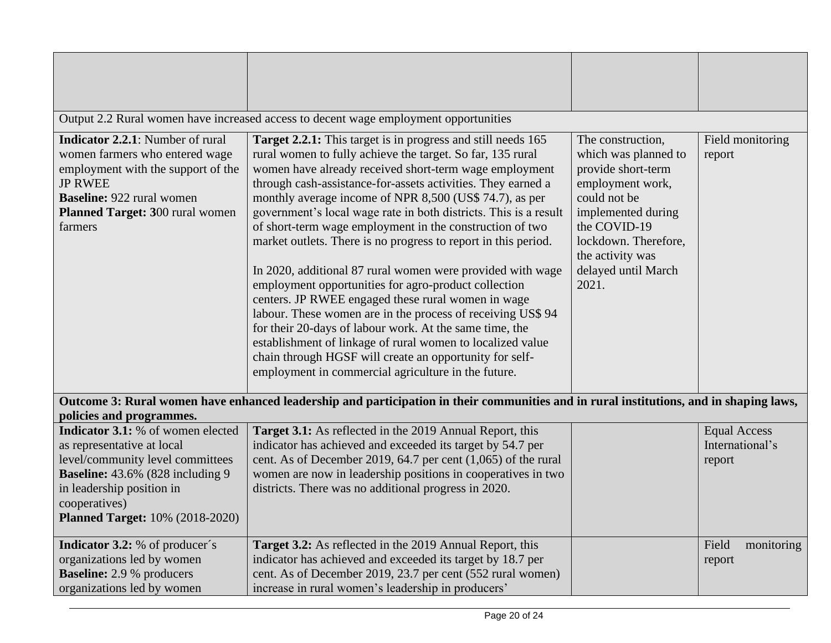|                                                                                                                                                                                                                                         | Output 2.2 Rural women have increased access to decent wage employment opportunities                                                                                                                                                                                                                                                                                                                                                                                                                                                                                                                                                                                                                                                                                                                                                                                                                                                                                                                           |                                                                                                                                                                                                                       |                                                  |
|-----------------------------------------------------------------------------------------------------------------------------------------------------------------------------------------------------------------------------------------|----------------------------------------------------------------------------------------------------------------------------------------------------------------------------------------------------------------------------------------------------------------------------------------------------------------------------------------------------------------------------------------------------------------------------------------------------------------------------------------------------------------------------------------------------------------------------------------------------------------------------------------------------------------------------------------------------------------------------------------------------------------------------------------------------------------------------------------------------------------------------------------------------------------------------------------------------------------------------------------------------------------|-----------------------------------------------------------------------------------------------------------------------------------------------------------------------------------------------------------------------|--------------------------------------------------|
| <b>Indicator 2.2.1:</b> Number of rural<br>women farmers who entered wage<br>employment with the support of the<br><b>JP RWEE</b><br><b>Baseline: 922 rural women</b><br>Planned Target: 300 rural women<br>farmers                     | <b>Target 2.2.1:</b> This target is in progress and still needs 165<br>rural women to fully achieve the target. So far, 135 rural<br>women have already received short-term wage employment<br>through cash-assistance-for-assets activities. They earned a<br>monthly average income of NPR 8,500 (US\$ 74.7), as per<br>government's local wage rate in both districts. This is a result<br>of short-term wage employment in the construction of two<br>market outlets. There is no progress to report in this period.<br>In 2020, additional 87 rural women were provided with wage<br>employment opportunities for agro-product collection<br>centers. JP RWEE engaged these rural women in wage<br>labour. These women are in the process of receiving US\$ 94<br>for their 20-days of labour work. At the same time, the<br>establishment of linkage of rural women to localized value<br>chain through HGSF will create an opportunity for self-<br>employment in commercial agriculture in the future. | The construction,<br>which was planned to<br>provide short-term<br>employment work,<br>could not be<br>implemented during<br>the COVID-19<br>lockdown. Therefore,<br>the activity was<br>delayed until March<br>2021. | Field monitoring<br>report                       |
| policies and programmes.                                                                                                                                                                                                                | Outcome 3: Rural women have enhanced leadership and participation in their communities and in rural institutions, and in shaping laws,                                                                                                                                                                                                                                                                                                                                                                                                                                                                                                                                                                                                                                                                                                                                                                                                                                                                         |                                                                                                                                                                                                                       |                                                  |
| Indicator 3.1: % of women elected<br>as representative at local<br>level/community level committees<br><b>Baseline:</b> 43.6% (828 including 9)<br>in leadership position in<br>cooperatives)<br><b>Planned Target: 10% (2018-2020)</b> | Target 3.1: As reflected in the 2019 Annual Report, this<br>indicator has achieved and exceeded its target by 54.7 per<br>cent. As of December 2019, 64.7 per cent $(1,065)$ of the rural<br>women are now in leadership positions in cooperatives in two<br>districts. There was no additional progress in 2020.                                                                                                                                                                                                                                                                                                                                                                                                                                                                                                                                                                                                                                                                                              |                                                                                                                                                                                                                       | <b>Equal Access</b><br>International's<br>report |
| Indicator 3.2: % of producer's<br>organizations led by women<br><b>Baseline:</b> 2.9 % producers<br>organizations led by women                                                                                                          | Target 3.2: As reflected in the 2019 Annual Report, this<br>indicator has achieved and exceeded its target by 18.7 per<br>cent. As of December 2019, 23.7 per cent (552 rural women)<br>increase in rural women's leadership in producers'                                                                                                                                                                                                                                                                                                                                                                                                                                                                                                                                                                                                                                                                                                                                                                     |                                                                                                                                                                                                                       | Field<br>monitoring<br>report                    |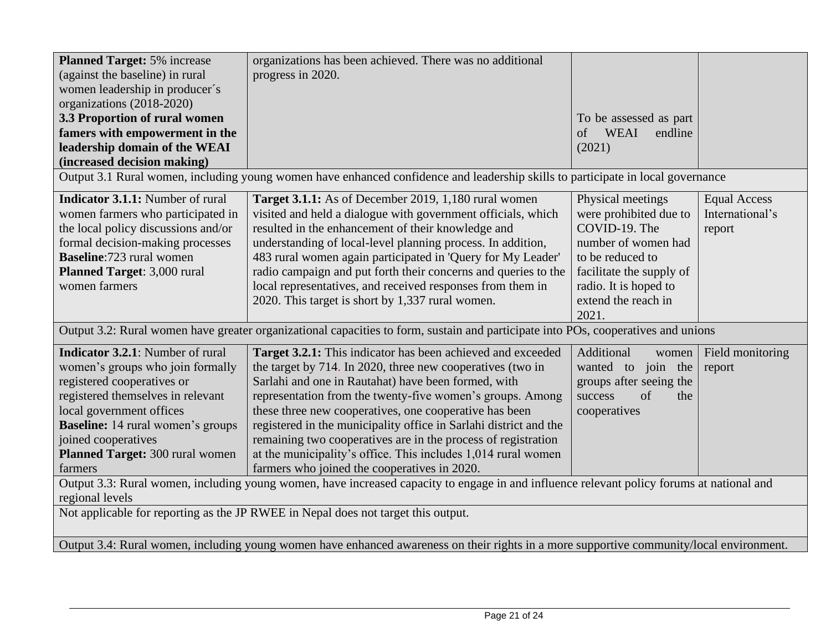| <b>Planned Target: 5% increase</b><br>(against the baseline) in rural<br>women leadership in producer's                                                                                                                                                                              | organizations has been achieved. There was no additional<br>progress in 2020.                                                                                                                                                                                                                                                                                                                                                                                                                                                                                  |                                                                                                                                                                                              |                                                  |
|--------------------------------------------------------------------------------------------------------------------------------------------------------------------------------------------------------------------------------------------------------------------------------------|----------------------------------------------------------------------------------------------------------------------------------------------------------------------------------------------------------------------------------------------------------------------------------------------------------------------------------------------------------------------------------------------------------------------------------------------------------------------------------------------------------------------------------------------------------------|----------------------------------------------------------------------------------------------------------------------------------------------------------------------------------------------|--------------------------------------------------|
| organizations (2018-2020)<br>3.3 Proportion of rural women<br>famers with empowerment in the<br>leadership domain of the WEAI                                                                                                                                                        |                                                                                                                                                                                                                                                                                                                                                                                                                                                                                                                                                                | To be assessed as part<br>WEAI<br>endline<br>of<br>(2021)                                                                                                                                    |                                                  |
| (increased decision making)                                                                                                                                                                                                                                                          |                                                                                                                                                                                                                                                                                                                                                                                                                                                                                                                                                                |                                                                                                                                                                                              |                                                  |
|                                                                                                                                                                                                                                                                                      | Output 3.1 Rural women, including young women have enhanced confidence and leadership skills to participate in local governance                                                                                                                                                                                                                                                                                                                                                                                                                                |                                                                                                                                                                                              |                                                  |
| <b>Indicator 3.1.1:</b> Number of rural<br>women farmers who participated in<br>the local policy discussions and/or<br>formal decision-making processes<br><b>Baseline:723 rural women</b><br><b>Planned Target: 3,000 rural</b><br>women farmers                                    | Target 3.1.1: As of December 2019, 1,180 rural women<br>visited and held a dialogue with government officials, which<br>resulted in the enhancement of their knowledge and<br>understanding of local-level planning process. In addition,<br>483 rural women again participated in 'Query for My Leader'<br>radio campaign and put forth their concerns and queries to the<br>local representatives, and received responses from them in<br>2020. This target is short by 1,337 rural women.                                                                   | Physical meetings<br>were prohibited due to<br>COVID-19. The<br>number of women had<br>to be reduced to<br>facilitate the supply of<br>radio. It is hoped to<br>extend the reach in<br>2021. | <b>Equal Access</b><br>International's<br>report |
|                                                                                                                                                                                                                                                                                      | Output 3.2: Rural women have greater organizational capacities to form, sustain and participate into POs, cooperatives and unions                                                                                                                                                                                                                                                                                                                                                                                                                              |                                                                                                                                                                                              |                                                  |
| Indicator 3.2.1: Number of rural<br>women's groups who join formally<br>registered cooperatives or<br>registered themselves in relevant<br>local government offices<br><b>Baseline:</b> 14 rural women's groups<br>joined cooperatives<br>Planned Target: 300 rural women<br>farmers | Target 3.2.1: This indicator has been achieved and exceeded<br>the target by 714. In 2020, three new cooperatives (two in<br>Sarlahi and one in Rautahat) have been formed, with<br>representation from the twenty-five women's groups. Among<br>these three new cooperatives, one cooperative has been<br>registered in the municipality office in Sarlahi district and the<br>remaining two cooperatives are in the process of registration<br>at the municipality's office. This includes 1,014 rural women<br>farmers who joined the cooperatives in 2020. | Additional<br>women<br>wanted to join the<br>groups after seeing the<br>of<br>success<br>the<br>cooperatives                                                                                 | Field monitoring<br>report                       |
| Output 3.3: Rural women, including young women, have increased capacity to engage in and influence relevant policy forums at national and<br>regional levels                                                                                                                         |                                                                                                                                                                                                                                                                                                                                                                                                                                                                                                                                                                |                                                                                                                                                                                              |                                                  |
| Not applicable for reporting as the JP RWEE in Nepal does not target this output.                                                                                                                                                                                                    |                                                                                                                                                                                                                                                                                                                                                                                                                                                                                                                                                                |                                                                                                                                                                                              |                                                  |
| Output 3.4: Rural women, including young women have enhanced awareness on their rights in a more supportive community/local environment.                                                                                                                                             |                                                                                                                                                                                                                                                                                                                                                                                                                                                                                                                                                                |                                                                                                                                                                                              |                                                  |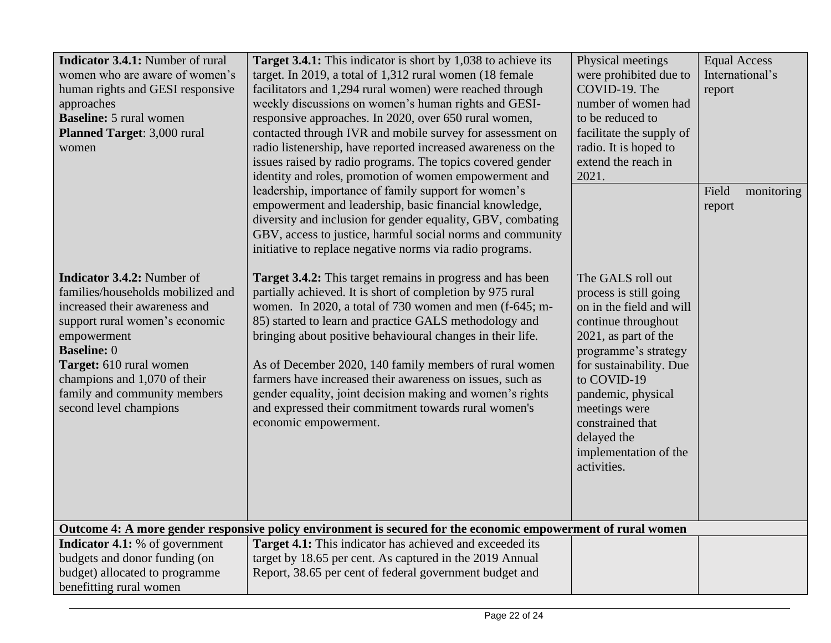| <b>Indicator 3.4.1:</b> Number of rural<br>women who are aware of women's<br>human rights and GESI responsive<br>approaches<br><b>Baseline:</b> 5 rural women<br>Planned Target: 3,000 rural<br>women                                                                                               | <b>Target 3.4.1:</b> This indicator is short by 1,038 to achieve its<br>target. In 2019, a total of 1,312 rural women (18 female<br>facilitators and 1,294 rural women) were reached through<br>weekly discussions on women's human rights and GESI-<br>responsive approaches. In 2020, over 650 rural women,<br>contacted through IVR and mobile survey for assessment on<br>radio listenership, have reported increased awareness on the<br>issues raised by radio programs. The topics covered gender<br>identity and roles, promotion of women empowerment and                      | Physical meetings<br>were prohibited due to<br>COVID-19. The<br>number of women had<br>to be reduced to<br>facilitate the supply of<br>radio. It is hoped to<br>extend the reach in<br>2021.                                                                                                               | <b>Equal Access</b><br>International's<br>report |
|-----------------------------------------------------------------------------------------------------------------------------------------------------------------------------------------------------------------------------------------------------------------------------------------------------|-----------------------------------------------------------------------------------------------------------------------------------------------------------------------------------------------------------------------------------------------------------------------------------------------------------------------------------------------------------------------------------------------------------------------------------------------------------------------------------------------------------------------------------------------------------------------------------------|------------------------------------------------------------------------------------------------------------------------------------------------------------------------------------------------------------------------------------------------------------------------------------------------------------|--------------------------------------------------|
|                                                                                                                                                                                                                                                                                                     | leadership, importance of family support for women's<br>empowerment and leadership, basic financial knowledge,<br>diversity and inclusion for gender equality, GBV, combating<br>GBV, access to justice, harmful social norms and community<br>initiative to replace negative norms via radio programs.                                                                                                                                                                                                                                                                                 |                                                                                                                                                                                                                                                                                                            | Field<br>monitoring<br>report                    |
| <b>Indicator 3.4.2:</b> Number of<br>families/households mobilized and<br>increased their awareness and<br>support rural women's economic<br>empowerment<br><b>Baseline: 0</b><br>Target: 610 rural women<br>champions and 1,070 of their<br>family and community members<br>second level champions | <b>Target 3.4.2:</b> This target remains in progress and has been<br>partially achieved. It is short of completion by 975 rural<br>women. In 2020, a total of 730 women and men (f-645; m-<br>85) started to learn and practice GALS methodology and<br>bringing about positive behavioural changes in their life.<br>As of December 2020, 140 family members of rural women<br>farmers have increased their awareness on issues, such as<br>gender equality, joint decision making and women's rights<br>and expressed their commitment towards rural women's<br>economic empowerment. | The GALS roll out<br>process is still going<br>on in the field and will<br>continue throughout<br>2021, as part of the<br>programme's strategy<br>for sustainability. Due<br>to COVID-19<br>pandemic, physical<br>meetings were<br>constrained that<br>delayed the<br>implementation of the<br>activities. |                                                  |
|                                                                                                                                                                                                                                                                                                     | Outcome 4: A more gender responsive policy environment is secured for the economic empowerment of rural women                                                                                                                                                                                                                                                                                                                                                                                                                                                                           |                                                                                                                                                                                                                                                                                                            |                                                  |
| <b>Indicator 4.1:</b> % of government<br>budgets and donor funding (on<br>budget) allocated to programme<br>benefitting rural women                                                                                                                                                                 | <b>Target 4.1:</b> This indicator has achieved and exceeded its<br>target by 18.65 per cent. As captured in the 2019 Annual<br>Report, 38.65 per cent of federal government budget and                                                                                                                                                                                                                                                                                                                                                                                                  |                                                                                                                                                                                                                                                                                                            |                                                  |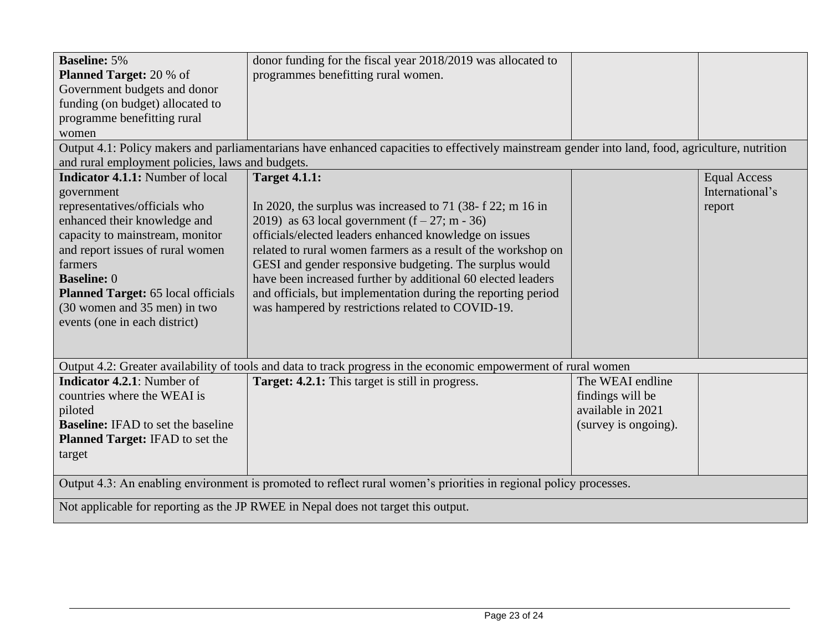| <b>Baseline: 5%</b>                                                                                               | donor funding for the fiscal year 2018/2019 was allocated to                                                                                     |                      |                     |
|-------------------------------------------------------------------------------------------------------------------|--------------------------------------------------------------------------------------------------------------------------------------------------|----------------------|---------------------|
| <b>Planned Target: 20 % of</b>                                                                                    | programmes benefitting rural women.                                                                                                              |                      |                     |
| Government budgets and donor                                                                                      |                                                                                                                                                  |                      |                     |
| funding (on budget) allocated to                                                                                  |                                                                                                                                                  |                      |                     |
| programme benefitting rural                                                                                       |                                                                                                                                                  |                      |                     |
| women                                                                                                             |                                                                                                                                                  |                      |                     |
|                                                                                                                   | Output 4.1: Policy makers and parliamentarians have enhanced capacities to effectively mainstream gender into land, food, agriculture, nutrition |                      |                     |
| and rural employment policies, laws and budgets.                                                                  |                                                                                                                                                  |                      |                     |
| <b>Indicator 4.1.1:</b> Number of local                                                                           | <b>Target 4.1.1:</b>                                                                                                                             |                      | <b>Equal Access</b> |
| government                                                                                                        |                                                                                                                                                  |                      | International's     |
| representatives/officials who                                                                                     | In 2020, the surplus was increased to 71 (38- f 22; m 16 in                                                                                      |                      | report              |
| enhanced their knowledge and                                                                                      | 2019) as 63 local government $(f - 27; m - 36)$                                                                                                  |                      |                     |
| capacity to mainstream, monitor                                                                                   | officials/elected leaders enhanced knowledge on issues                                                                                           |                      |                     |
| and report issues of rural women                                                                                  | related to rural women farmers as a result of the workshop on                                                                                    |                      |                     |
| farmers                                                                                                           | GESI and gender responsive budgeting. The surplus would                                                                                          |                      |                     |
| <b>Baseline: 0</b>                                                                                                | have been increased further by additional 60 elected leaders                                                                                     |                      |                     |
| Planned Target: 65 local officials                                                                                | and officials, but implementation during the reporting period                                                                                    |                      |                     |
| (30 women and 35 men) in two                                                                                      | was hampered by restrictions related to COVID-19.                                                                                                |                      |                     |
| events (one in each district)                                                                                     |                                                                                                                                                  |                      |                     |
|                                                                                                                   |                                                                                                                                                  |                      |                     |
|                                                                                                                   |                                                                                                                                                  |                      |                     |
|                                                                                                                   | Output 4.2: Greater availability of tools and data to track progress in the economic empowerment of rural women                                  |                      |                     |
| <b>Indicator 4.2.1:</b> Number of                                                                                 | <b>Target: 4.2.1:</b> This target is still in progress.                                                                                          | The WEAI endline     |                     |
| countries where the WEAI is                                                                                       |                                                                                                                                                  | findings will be     |                     |
| piloted                                                                                                           |                                                                                                                                                  | available in 2021    |                     |
| <b>Baseline:</b> IFAD to set the baseline                                                                         |                                                                                                                                                  | (survey is ongoing). |                     |
| Planned Target: IFAD to set the                                                                                   |                                                                                                                                                  |                      |                     |
| target                                                                                                            |                                                                                                                                                  |                      |                     |
|                                                                                                                   |                                                                                                                                                  |                      |                     |
| Output 4.3: An enabling environment is promoted to reflect rural women's priorities in regional policy processes. |                                                                                                                                                  |                      |                     |
| Not applicable for reporting as the JP RWEE in Nepal does not target this output.                                 |                                                                                                                                                  |                      |                     |